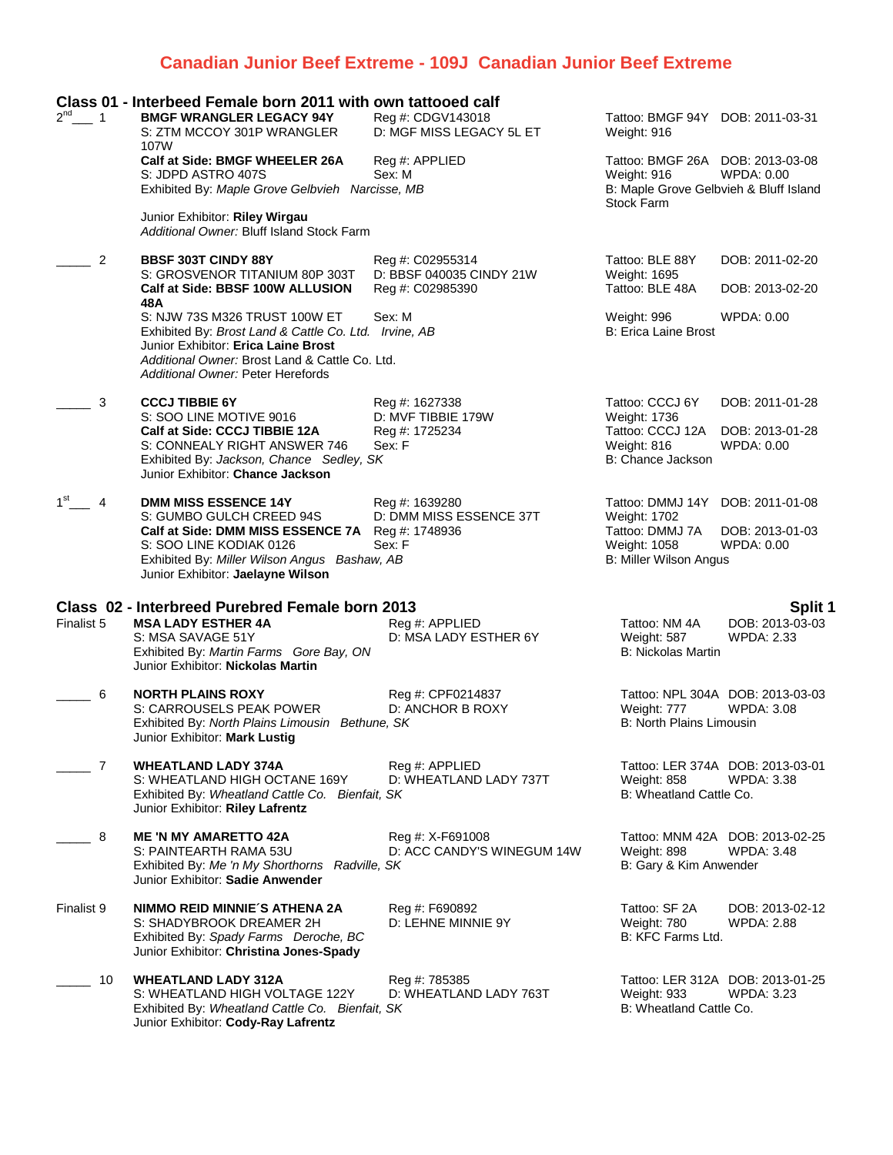## **Canadian Junior Beef Extreme - 109J Canadian Junior Beef Extreme**

| $2^{nd}$ 1           | Class 01 - Interbeed Female born 2011 with own tattooed calf<br><b>BMGF WRANGLER LEGACY 94Y</b><br>S: ZTM MCCOY 301P WRANGLER                                                                                                                                   | Reg #: CDGV143018<br>D: MGF MISS LEGACY 5L ET                    | Tattoo: BMGF 94Y DOB: 2011-03-31<br>Weight: 916                                                                |                                                         |
|----------------------|-----------------------------------------------------------------------------------------------------------------------------------------------------------------------------------------------------------------------------------------------------------------|------------------------------------------------------------------|----------------------------------------------------------------------------------------------------------------|---------------------------------------------------------|
|                      | 107W<br>Calf at Side: BMGF WHEELER 26A<br>S: JDPD ASTRO 407S<br>Exhibited By: Maple Grove Gelbvieh Narcisse, MB                                                                                                                                                 | Reg #: APPLIED<br>Sex: M                                         | Tattoo: BMGF 26A DOB: 2013-03-08<br>Weight: 916<br>B: Maple Grove Gelbvieh & Bluff Island<br><b>Stock Farm</b> | <b>WPDA: 0.00</b>                                       |
|                      | Junior Exhibitor: Riley Wirgau<br>Additional Owner: Bluff Island Stock Farm                                                                                                                                                                                     |                                                                  |                                                                                                                |                                                         |
| 2                    | <b>BBSF 303T CINDY 88Y</b><br>S: GROSVENOR TITANIUM 80P 303T<br>Calf at Side: BBSF 100W ALLUSION                                                                                                                                                                | Reg #: C02955314<br>D: BBSF 040035 CINDY 21W<br>Reg #: C02985390 | Tattoo: BLE 88Y<br>Weight: 1695<br>Tattoo: BLE 48A                                                             | DOB: 2011-02-20<br>DOB: 2013-02-20                      |
|                      | 48A<br>S: NJW 73S M326 TRUST 100W ET<br>Exhibited By: Brost Land & Cattle Co. Ltd. Irvine, AB<br>Junior Exhibitor: Erica Laine Brost<br>Additional Owner: Brost Land & Cattle Co. Ltd.<br><b>Additional Owner: Peter Herefords</b>                              | Sex: M                                                           | Weight: 996<br><b>B: Erica Laine Brost</b>                                                                     | WPDA: 0.00                                              |
| 3                    | <b>CCCJ TIBBIE 6Y</b><br>S: SOO LINE MOTIVE 9016<br>Calf at Side: CCCJ TIBBIE 12A<br>S: CONNEALY RIGHT ANSWER 746<br>Exhibited By: Jackson, Chance Sedley, SK                                                                                                   | Reg #: 1627338<br>D: MVF TIBBIE 179W<br>Reg #: 1725234<br>Sex: F | Tattoo: CCCJ 6Y<br>Weight: 1736<br>Tattoo: CCCJ 12A<br>Weight: 816<br>B: Chance Jackson                        | DOB: 2011-01-28<br>DOB: 2013-01-28<br><b>WPDA: 0.00</b> |
| 1 <sup>st</sup><br>4 | Junior Exhibitor: Chance Jackson<br><b>DMM MISS ESSENCE 14Y</b><br>S: GUMBO GULCH CREED 94S<br>Calf at Side: DMM MISS ESSENCE 7A Reg #: 1748936<br>S: SOO LINE KODIAK 0126<br>Exhibited By: Miller Wilson Angus Bashaw, AB<br>Junior Exhibitor: Jaelayne Wilson | Reg #: 1639280<br>D: DMM MISS ESSENCE 37T<br>Sex: F              | Tattoo: DMMJ 14Y DOB: 2011-01-08<br>Weight: 1702<br>Tattoo: DMMJ 7A<br>Weight: 1058<br>B: Miller Wilson Angus  | DOB: 2013-01-03<br><b>WPDA: 0.00</b>                    |
| Finalist 5           | Class 02 - Interbreed Purebred Female born 2013<br><b>MSA LADY ESTHER 4A</b><br>S: MSA SAVAGE 51Y<br>Exhibited By: Martin Farms Gore Bay, ON<br>Junior Exhibitor: Nickolas Martin                                                                               | Reg #: APPLIED<br>D: MSA LADY ESTHER 6Y                          | Tattoo: NM 4A<br>Weight: 587<br><b>B: Nickolas Martin</b>                                                      | Split 1<br>DOB: 2013-03-03<br><b>WPDA: 2.33</b>         |
| 6                    | <b>NORTH PLAINS ROXY</b><br>S: CARROUSELS PEAK POWER<br>Exhibited By: North Plains Limousin Bethune, SK<br>Junior Exhibitor: <b>Mark Lustiq</b>                                                                                                                 | Reg #: CPF0214837<br>D: ANCHOR B ROXY                            | Weight: 777<br><b>B: North Plains Limousin</b>                                                                 | Tattoo: NPL 304A DOB: 2013-03-03<br><b>WPDA: 3.08</b>   |
| 7                    | <b>WHEATLAND LADY 374A</b><br>S: WHEATLAND HIGH OCTANE 169Y<br>Exhibited By: Wheatland Cattle Co. Bienfait, SK<br>Junior Exhibitor: Riley Lafrentz                                                                                                              | Reg #: APPLIED<br>D: WHEATLAND LADY 737T                         | Weight: 858<br>B: Wheatland Cattle Co.                                                                         | Tattoo: LER 374A DOB: 2013-03-01<br><b>WPDA: 3.38</b>   |
| 8                    | <b>ME 'N MY AMARETTO 42A</b><br>S: PAINTEARTH RAMA 53U<br>Exhibited By: Me 'n My Shorthorns Radville, SK                                                                                                                                                        | Reg #: X-F691008<br>D: ACC CANDY'S WINEGUM 14W                   | Weight: 898<br>B: Gary & Kim Anwender                                                                          | Tattoo: MNM 42A DOB: 2013-02-25<br><b>WPDA: 3.48</b>    |
|                      | Junior Exhibitor: Sadie Anwender                                                                                                                                                                                                                                |                                                                  |                                                                                                                |                                                         |
| Finalist 9           | NIMMO REID MINNIE'S ATHENA 2A<br>S: SHADYBROOK DREAMER 2H<br>Exhibited By: Spady Farms Deroche, BC<br>Junior Exhibitor: Christina Jones-Spady                                                                                                                   | Reg #: F690892<br>D: LEHNE MINNIE 9Y                             | Tattoo: SF 2A<br>Weight: 780<br>B: KFC Farms Ltd.                                                              | DOB: 2013-02-12<br><b>WPDA: 2.88</b>                    |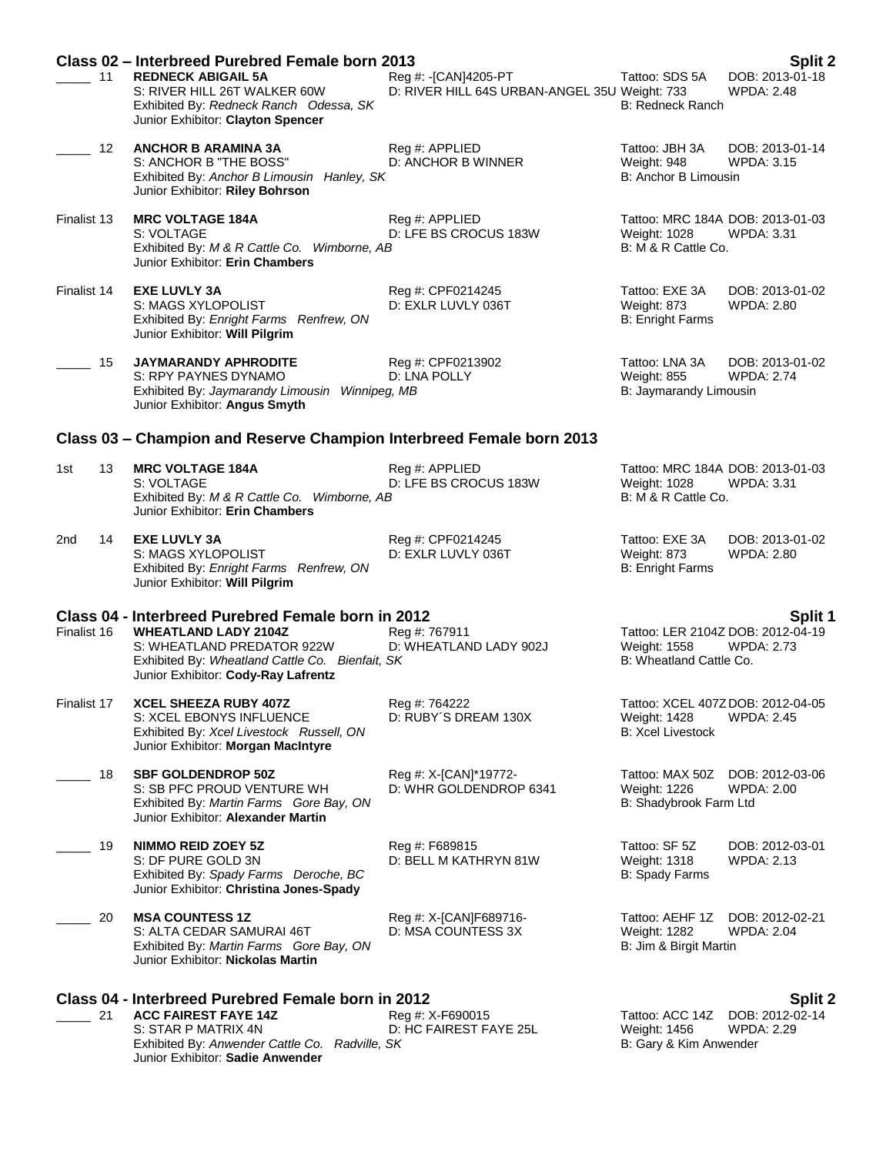|             | Class 02 - Interbreed Purebred Female born 2013                                                                                                     |                                                                       |                                                                               | Split 2                              |
|-------------|-----------------------------------------------------------------------------------------------------------------------------------------------------|-----------------------------------------------------------------------|-------------------------------------------------------------------------------|--------------------------------------|
| 11          | <b>REDNECK ABIGAIL 5A</b><br>S: RIVER HILL 26T WALKER 60W<br>Exhibited By: Redneck Ranch Odessa, SK<br>Junior Exhibitor: Clayton Spencer            | Reg #: -[CAN]4205-PT<br>D: RIVER HILL 64S URBAN-ANGEL 35U Weight: 733 | Tattoo: SDS 5A<br><b>B: Redneck Ranch</b>                                     | DOB: 2013-01-18<br><b>WPDA: 2.48</b> |
| 12          | <b>ANCHOR B ARAMINA 3A</b><br>S: ANCHOR B "THE BOSS"<br>Exhibited By: Anchor B Limousin Hanley, SK<br>Junior Exhibitor: Riley Bohrson               | Reg #: APPLIED<br>D: ANCHOR B WINNER                                  | Tattoo: JBH 3A<br>Weight: 948<br>B: Anchor B Limousin                         | DOB: 2013-01-14<br><b>WPDA: 3.15</b> |
| Finalist 13 | <b>MRC VOLTAGE 184A</b><br>S: VOLTAGE<br>Exhibited By: M & R Cattle Co. Wimborne, AB<br>Junior Exhibitor: Erin Chambers                             | Reg #: APPLIED<br>D: LFE BS CROCUS 183W                               | Tattoo: MRC 184A DOB: 2013-01-03<br>Weight: 1028<br>B: M & R Cattle Co.       | <b>WPDA: 3.31</b>                    |
| Finalist 14 | <b>EXE LUVLY 3A</b><br>S: MAGS XYLOPOLIST<br>Exhibited By: Enright Farms Renfrew, ON<br>Junior Exhibitor: Will Pilgrim                              | Reg #: CPF0214245<br>D: EXLR LUVLY 036T                               | Tattoo: EXE 3A<br>Weight: 873<br><b>B: Enright Farms</b>                      | DOB: 2013-01-02<br>WPDA: 2.80        |
| 15          | JAYMARANDY APHRODITE<br>S: RPY PAYNES DYNAMO<br>Exhibited By: Jaymarandy Limousin Winnipeg, MB<br>Junior Exhibitor: Angus Smyth                     | Reg #: CPF0213902<br>D: LNA POLLY                                     | Tattoo: LNA 3A<br>Weight: 855<br>B: Jaymarandy Limousin                       | DOB: 2013-01-02<br><b>WPDA: 2.74</b> |
|             | Class 03 - Champion and Reserve Champion Interbreed Female born 2013                                                                                |                                                                       |                                                                               |                                      |
| 13<br>1st   | <b>MRC VOLTAGE 184A</b><br>S: VOLTAGE<br>Exhibited By: M & R Cattle Co. Wimborne, AB<br>Junior Exhibitor: Erin Chambers                             | Reg #: APPLIED<br>D: LFE BS CROCUS 183W                               | Tattoo: MRC 184A DOB: 2013-01-03<br>Weight: 1028<br>B: M & R Cattle Co.       | <b>WPDA: 3.31</b>                    |
| 14<br>2nd   | <b>EXE LUVLY 3A</b><br>S: MAGS XYLOPOLIST<br>Exhibited By: Enright Farms Renfrew, ON<br>Junior Exhibitor: Will Pilgrim                              | Reg #: CPF0214245<br>D: EXLR LUVLY 036T                               | Tattoo: EXE 3A<br>Weight: 873<br><b>B: Enright Farms</b>                      | DOB: 2013-01-02<br><b>WPDA: 2.80</b> |
|             | Class 04 - Interbreed Purebred Female born in 2012                                                                                                  |                                                                       |                                                                               | <b>Split 1</b>                       |
| Finalist 16 | <b>WHEATLAND LADY 2104Z</b><br>S: WHEATLAND PREDATOR 922W<br>Exhibited By: Wheatland Cattle Co. Bienfait, SK<br>Junior Exhibitor: Cody-Ray Lafrentz | Reg #: 767911<br>D: WHEATLAND LADY 902J                               | Tattoo: LER 2104Z DOB: 2012-04-19<br>Weight: 1558<br>B: Wheatland Cattle Co.  | <b>WPDA: 2.73</b>                    |
| Finalist 17 | <b>XCEL SHEEZA RUBY 407Z</b><br>S: XCEL EBONYS INFLUENCE<br>Exhibited By: Xcel Livestock Russell, ON<br>Junior Exhibitor: Morgan MacIntyre          | Reg #: 764222<br>D: RUBY'S DREAM 130X                                 | Tattoo: XCEL 407Z DOB: 2012-04-05<br>Weight: 1428<br><b>B: Xcel Livestock</b> | <b>WPDA: 2.45</b>                    |
| 18          | <b>SBF GOLDENDROP 50Z</b><br>S: SB PFC PROUD VENTURE WH<br>Exhibited By: Martin Farms Gore Bay, ON<br>Junior Exhibitor: Alexander Martin            | Reg #: X-[CAN]*19772-<br>D: WHR GOLDENDROP 6341                       | Tattoo: MAX 50Z<br>Weight: 1226<br>B: Shadybrook Farm Ltd                     | DOB: 2012-03-06<br><b>WPDA: 2.00</b> |
| 19          | <b>NIMMO REID ZOEY 5Z</b><br>S: DF PURE GOLD 3N<br>Exhibited By: Spady Farms Deroche, BC<br>Junior Exhibitor: Christina Jones-Spady                 | Reg #: F689815<br>D: BELL M KATHRYN 81W                               | Tattoo: SF 5Z<br><b>Weight: 1318</b><br>B: Spady Farms                        | DOB: 2012-03-01<br>WPDA: 2.13        |
| 20          | <b>MSA COUNTESS 1Z</b><br>S: ALTA CEDAR SAMURAI 46T<br>Exhibited By: Martin Farms Gore Bay, ON<br>Junior Exhibitor: Nickolas Martin                 | Reg #: X-[CAN]F689716-<br>D: MSA COUNTESS 3X                          | Tattoo: AEHF 1Z<br><b>Weight: 1282</b><br>B: Jim & Birgit Martin              | DOB: 2012-02-21<br><b>WPDA: 2.04</b> |
|             | Class 04 - Interbreed Purebred Female born in 2012                                                                                                  |                                                                       |                                                                               | <b>Split 2</b>                       |
| 21          | <b>ACC FAIREST FAYE 14Z</b><br>S: STAR P MATRIX 4N                                                                                                  | Reg #: X-F690015<br>D: HC FAIREST FAYE 25L                            | Tattoo: ACC 14Z<br>Weight: 1456                                               | DOB: 2012-02-14<br><b>WPDA: 2.29</b> |

Exhibited By: *Anwender Cattle Co. Radville, SK* B: Gary & Kim Anwender

Junior Exhibitor: **Sadie Anwender**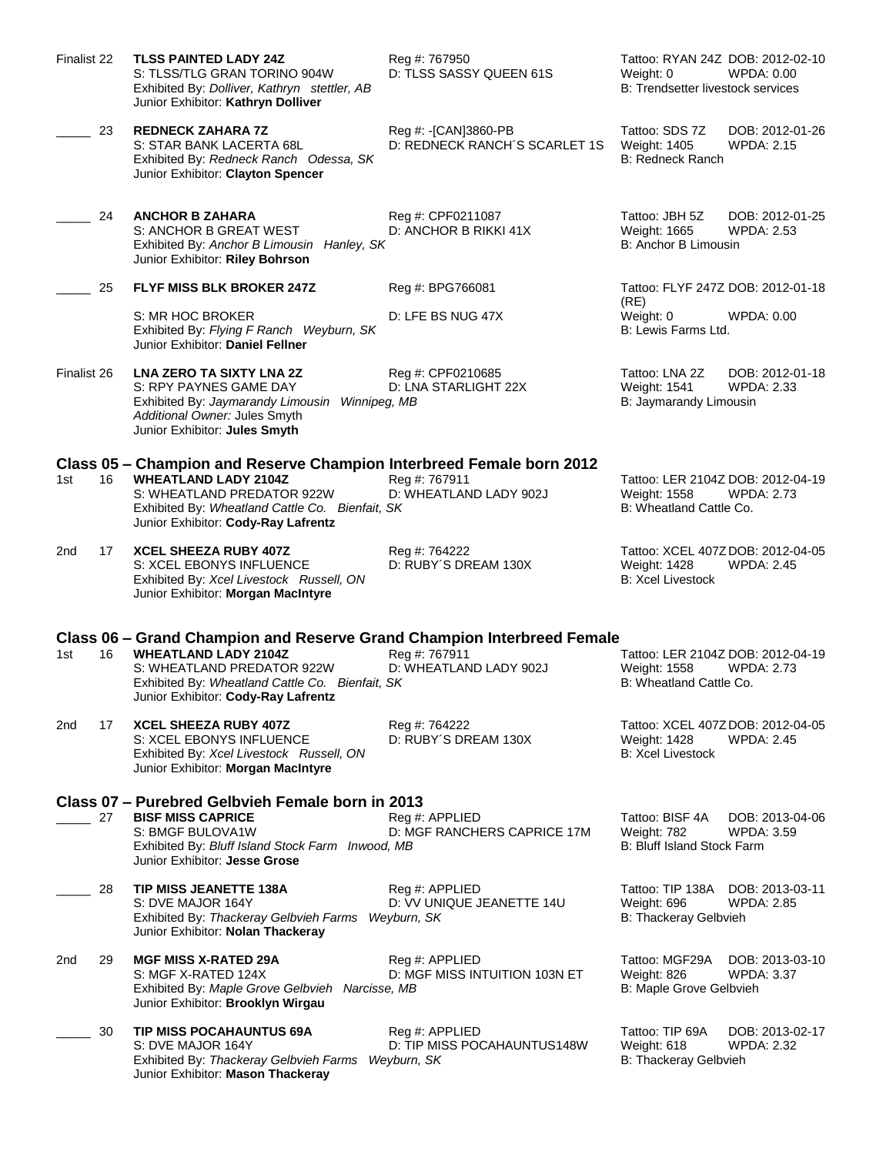| Finalist 22 |    | <b>TLSS PAINTED LADY 24Z</b><br>S: TLSS/TLG GRAN TORINO 904W<br>Exhibited By: Dolliver, Kathryn stettler, AB<br>Junior Exhibitor: Kathryn Dolliver                                                                            | Reg #: 767950<br>D: TLSS SASSY QUEEN 61S              | Tattoo: RYAN 24Z DOB: 2012-02-10<br>Weight: 0<br>WPDA: 0.00<br>B: Trendsetter livestock services     |
|-------------|----|-------------------------------------------------------------------------------------------------------------------------------------------------------------------------------------------------------------------------------|-------------------------------------------------------|------------------------------------------------------------------------------------------------------|
|             | 23 | <b>REDNECK ZAHARA 7Z</b><br>S: STAR BANK LACERTA 68L<br>Exhibited By: Redneck Ranch Odessa, SK<br>Junior Exhibitor: Clayton Spencer                                                                                           | Reg #: -[CAN]3860-PB<br>D: REDNECK RANCH'S SCARLET 1S | Tattoo: SDS 7Z<br>DOB: 2012-01-26<br>Weight: 1405<br><b>WPDA: 2.15</b><br>B: Redneck Ranch           |
|             | 24 | <b>ANCHOR B ZAHARA</b><br>S: ANCHOR B GREAT WEST<br>Exhibited By: Anchor B Limousin Hanley, SK<br>Junior Exhibitor: Riley Bohrson                                                                                             | Reg #: CPF0211087<br>D: ANCHOR B RIKKI 41X            | Tattoo: JBH 5Z<br>DOB: 2012-01-25<br>Weight: 1665<br><b>WPDA: 2.53</b><br>B: Anchor B Limousin       |
|             | 25 | <b>FLYF MISS BLK BROKER 247Z</b>                                                                                                                                                                                              | Reg #: BPG766081                                      | Tattoo: FLYF 247Z DOB: 2012-01-18<br>(RE)                                                            |
|             |    | S: MR HOC BROKER<br>Exhibited By: Flying F Ranch Weyburn, SK<br>Junior Exhibitor: Daniel Fellner                                                                                                                              | D: LFE BS NUG 47X                                     | Weight: 0<br>WPDA: 0.00<br>B: Lewis Farms Ltd.                                                       |
| Finalist 26 |    | <b>LNA ZERO TA SIXTY LNA 2Z</b><br>S: RPY PAYNES GAME DAY<br>Exhibited By: Jaymarandy Limousin Winnipeg, MB<br>Additional Owner: Jules Smyth<br>Junior Exhibitor: Jules Smyth                                                 | Reg #: CPF0210685<br>D: LNA STARLIGHT 22X             | Tattoo: LNA 2Z<br>DOB: 2012-01-18<br>Weight: 1541<br><b>WPDA: 2.33</b><br>B: Jaymarandy Limousin     |
| 1st         | 16 | Class 05 – Champion and Reserve Champion Interbreed Female born 2012<br><b>WHEATLAND LADY 2104Z</b><br>S: WHEATLAND PREDATOR 922W<br>Exhibited By: Wheatland Cattle Co. Bienfait, SK<br>Junior Exhibitor: Cody-Ray Lafrentz   | Reg #: 767911<br>D: WHEATLAND LADY 902J               | Tattoo: LER 2104Z DOB: 2012-04-19<br>Weight: 1558<br><b>WPDA: 2.73</b><br>B: Wheatland Cattle Co.    |
| 2nd         | 17 | <b>XCEL SHEEZA RUBY 407Z</b><br>S: XCEL EBONYS INFLUENCE<br>Exhibited By: Xcel Livestock Russell, ON<br>Junior Exhibitor: Morgan MacIntyre                                                                                    | Reg #: 764222<br>D: RUBY'S DREAM 130X                 | Tattoo: XCEL 407Z DOB: 2012-04-05<br>Weight: 1428<br><b>WPDA: 2.45</b><br><b>B: Xcel Livestock</b>   |
| 1st         | 16 | Class 06 – Grand Champion and Reserve Grand Champion Interbreed Female<br><b>WHEATLAND LADY 2104Z</b><br>S: WHEATLAND PREDATOR 922W<br>Exhibited By: Wheatland Cattle Co. Bienfait, SK<br>Junior Exhibitor: Cody-Ray Lafrentz | Reg #: 767911<br>D: WHEATLAND LADY 902J               | Tattoo: LER 2104Z DOB: 2012-04-19<br>Weight: 1558<br><b>WPDA: 2.73</b><br>B: Wheatland Cattle Co.    |
| 2nd         | 17 | XCEL SHEEZA RUBY 407Z<br>S: XCEL EBONYS INFLUENCE<br>Exhibited By: Xcel Livestock Russell, ON<br>Junior Exhibitor: Morgan MacIntyre                                                                                           | Reg #: 764222<br>D: RUBY'S DREAM 130X                 | Tattoo: XCEL 407Z DOB: 2012-04-05<br>Weight: 1428<br><b>WPDA: 2.45</b><br><b>B: Xcel Livestock</b>   |
|             | 27 | Class 07 - Purebred Gelbvieh Female born in 2013<br><b>BISF MISS CAPRICE</b><br>S: BMGF BULOVA1W<br>Exhibited By: Bluff Island Stock Farm Inwood, MB<br>Junior Exhibitor: Jesse Grose                                         | Req #: APPLIED<br>D: MGF RANCHERS CAPRICE 17M         | Tattoo: BISF 4A<br>DOB: 2013-04-06<br>Weight: 782<br><b>WPDA: 3.59</b><br>B: Bluff Island Stock Farm |
|             | 28 | <b>TIP MISS JEANETTE 138A</b><br>S: DVE MAJOR 164Y<br>Exhibited By: Thackeray Gelbvieh Farms Weyburn, SK<br>Junior Exhibitor: Nolan Thackeray                                                                                 | Reg #: APPLIED<br>D: VV UNIQUE JEANETTE 14U           | Tattoo: TIP 138A<br>DOB: 2013-03-11<br>Weight: 696<br><b>WPDA: 2.85</b><br>B: Thackeray Gelbvieh     |
| 2nd         | 29 | <b>MGF MISS X-RATED 29A</b><br>S: MGF X-RATED 124X<br>Exhibited By: Maple Grove Gelbvieh Narcisse, MB<br>Junior Exhibitor: Brooklyn Wirgau                                                                                    | Reg #: APPLIED<br>D: MGF MISS INTUITION 103N ET       | Tattoo: MGF29A<br>DOB: 2013-03-10<br>Weight: 826<br><b>WPDA: 3.37</b><br>B: Maple Grove Gelbvieh     |
|             | 30 | <b>TIP MISS POCAHAUNTUS 69A</b><br>S: DVE MAJOR 164Y<br>Exhibited By: Thackeray Gelbvieh Farms Weyburn, SK<br>Junior Exhibitor: Mason Thackeray                                                                               | Reg #: APPLIED<br>D: TIP MISS POCAHAUNTUS148W         | Tattoo: TIP 69A<br>DOB: 2013-02-17<br>Weight: 618<br><b>WPDA: 2.32</b><br>B: Thackeray Gelbvieh      |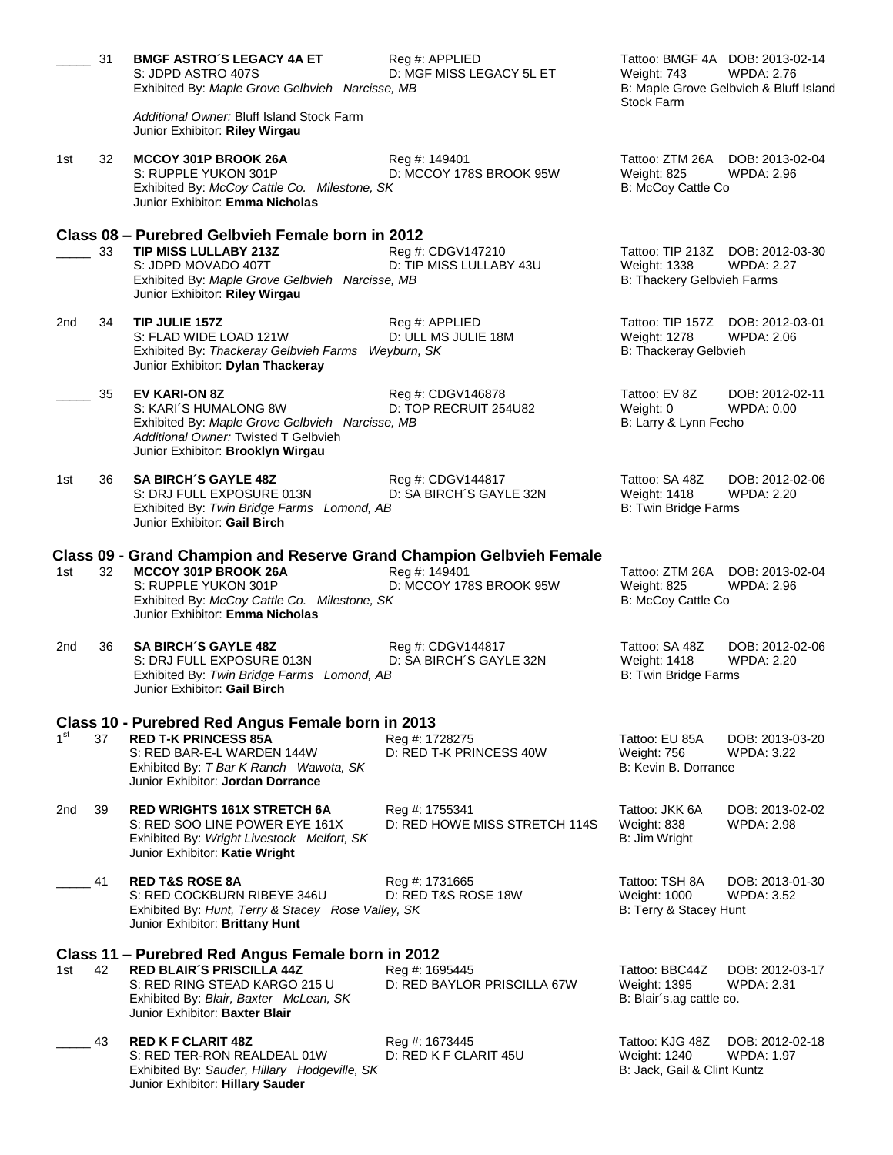|                 | 31 | <b>BMGF ASTRO'S LEGACY 4A ET</b><br>S: JDPD ASTRO 407S<br>Exhibited By: Maple Grove Gelbvieh Narcisse, MB                                                                                    | Reg #: APPLIED<br>D: MGF MISS LEGACY 5L ET      | Tattoo: BMGF 4A DOB: 2013-02-14<br>Weight: 743<br>B: Maple Grove Gelbvieh & Bluff Island<br><b>Stock Farm</b> | WPDA: 2.76                           |
|-----------------|----|----------------------------------------------------------------------------------------------------------------------------------------------------------------------------------------------|-------------------------------------------------|---------------------------------------------------------------------------------------------------------------|--------------------------------------|
|                 |    | Additional Owner: Bluff Island Stock Farm<br>Junior Exhibitor: Riley Wirgau                                                                                                                  |                                                 |                                                                                                               |                                      |
| 1st             | 32 | MCCOY 301P BROOK 26A<br>S: RUPPLE YUKON 301P<br>Exhibited By: McCoy Cattle Co. Milestone, SK<br>Junior Exhibitor: Emma Nicholas                                                              | Reg #: 149401<br>D: MCCOY 178S BROOK 95W        | Tattoo: ZTM 26A DOB: 2013-02-04<br><b>Weight: 825</b><br>B: McCoy Cattle Co                                   | <b>WPDA: 2.96</b>                    |
|                 | 33 | Class 08 - Purebred Gelbvieh Female born in 2012<br><b>TIP MISS LULLABY 213Z</b><br>S: JDPD MOVADO 407T<br>Exhibited By: Maple Grove Gelbvieh Narcisse, MB<br>Junior Exhibitor: Riley Wirgau | Reg #: CDGV147210<br>D: TIP MISS LULLABY 43U    | Tattoo: TIP 213Z DOB: 2012-03-30<br><b>Weight: 1338</b><br>B: Thackery Gelbvieh Farms                         | <b>WPDA: 2.27</b>                    |
| 2nd             | 34 | TIP JULIE 157Z<br>S: FLAD WIDE LOAD 121W<br>Exhibited By: Thackeray Gelbvieh Farms Weyburn, SK<br>Junior Exhibitor: Dylan Thackeray                                                          | Reg #: APPLIED<br>D: ULL MS JULIE 18M           | Tattoo: TIP 157Z<br>Weight: 1278<br><b>B: Thackeray Gelbvieh</b>                                              | DOB: 2012-03-01<br><b>WPDA: 2.06</b> |
|                 | 35 | EV KARI-ON 8Z<br>S: KARI'S HUMALONG 8W<br>Exhibited By: Maple Grove Gelbvieh Narcisse, MB<br>Additional Owner: Twisted T Gelbvieh<br>Junior Exhibitor: Brooklyn Wirgau                       | Reg #: CDGV146878<br>D: TOP RECRUIT 254U82      | Tattoo: EV 8Z<br>Weight: 0<br>B: Larry & Lynn Fecho                                                           | DOB: 2012-02-11<br>WPDA: 0.00        |
| 1st             | 36 | <b>SA BIRCH'S GAYLE 48Z</b><br>S: DRJ FULL EXPOSURE 013N<br>Exhibited By: Twin Bridge Farms Lomond, AB<br>Junior Exhibitor: Gail Birch                                                       | Reg #: CDGV144817<br>D: SA BIRCH'S GAYLE 32N    | Tattoo: SA 48Z<br>Weight: 1418<br><b>B: Twin Bridge Farms</b>                                                 | DOB: 2012-02-06<br>WPDA: 2.20        |
|                 |    | Class 09 - Grand Champion and Reserve Grand Champion Gelbvieh Female                                                                                                                         |                                                 |                                                                                                               |                                      |
| 1st             | 32 | MCCOY 301P BROOK 26A<br>S: RUPPLE YUKON 301P<br>Exhibited By: McCoy Cattle Co. Milestone, SK<br>Junior Exhibitor: Emma Nicholas                                                              | Reg #: 149401<br>D: MCCOY 178S BROOK 95W        | Tattoo: ZTM 26A<br>Weight: 825<br>B: McCoy Cattle Co                                                          | DOB: 2013-02-04<br><b>WPDA: 2.96</b> |
| 2nd             | 36 | <b>SA BIRCH'S GAYLE 48Z</b><br>S: DRJ FULL EXPOSURE 013N<br>Exhibited By: Twin Bridge Farms Lomond, AB<br>Junior Exhibitor: Gail Birch                                                       | Reg #: CDGV144817<br>D: SA BIRCH'S GAYLE 32N    | Tattoo: SA 48Z<br>Weight: 1418<br>B: Twin Bridge Farms                                                        | DOB: 2012-02-06<br><b>WPDA: 2.20</b> |
|                 |    | Class 10 - Purebred Red Angus Female born in 2013                                                                                                                                            |                                                 |                                                                                                               |                                      |
| 1 <sup>st</sup> | 37 | <b>RED T-K PRINCESS 85A</b><br>S: RED BAR-E-L WARDEN 144W<br>Exhibited By: T Bar K Ranch Wawota, SK<br>Junior Exhibitor: Jordan Dorrance                                                     | Reg #: 1728275<br>D: RED T-K PRINCESS 40W       | Tattoo: EU 85A<br>Weight: 756<br>B: Kevin B. Dorrance                                                         | DOB: 2013-03-20<br><b>WPDA: 3.22</b> |
| 2nd             | 39 | <b>RED WRIGHTS 161X STRETCH 6A</b><br>S: RED SOO LINE POWER EYE 161X<br>Exhibited By: Wright Livestock Melfort, SK<br>Junior Exhibitor: Katie Wright                                         | Reg #: 1755341<br>D: RED HOWE MISS STRETCH 114S | Tattoo: JKK 6A<br>Weight: 838<br>B: Jim Wright                                                                | DOB: 2013-02-02<br><b>WPDA: 2.98</b> |
|                 | 41 | <b>RED T&amp;S ROSE 8A</b><br>S: RED COCKBURN RIBEYE 346U<br>Exhibited By: Hunt, Terry & Stacey Rose Valley, SK<br>Junior Exhibitor: Brittany Hunt                                           | Reg #: 1731665<br>D: RED T&S ROSE 18W           | Tattoo: TSH 8A<br>Weight: 1000<br>B: Terry & Stacey Hunt                                                      | DOB: 2013-01-30<br><b>WPDA: 3.52</b> |
|                 |    | Class 11 - Purebred Red Angus Female born in 2012                                                                                                                                            |                                                 |                                                                                                               |                                      |
| 1st             | 42 | <b>RED BLAIR'S PRISCILLA 44Z</b><br>S: RED RING STEAD KARGO 215 U<br>Exhibited By: Blair, Baxter McLean, SK<br>Junior Exhibitor: Baxter Blair                                                | Reg #: 1695445<br>D: RED BAYLOR PRISCILLA 67W   | Tattoo: BBC44Z<br>Weight: 1395<br>B: Blair's ag cattle co.                                                    | DOB: 2012-03-17<br><b>WPDA: 2.31</b> |
|                 | 43 | <b>RED K F CLARIT 48Z</b><br>S: RED TER-RON REALDEAL 01W<br>Exhibited By: Sauder, Hillary Hodgeville, SK<br>Junior Exhibitor: Hillary Sauder                                                 | Reg #: 1673445<br>D: RED K F CLARIT 45U         | Tattoo: KJG 48Z<br>Weight: 1240<br>B: Jack, Gail & Clint Kuntz                                                | DOB: 2012-02-18<br>WPDA: 1.97        |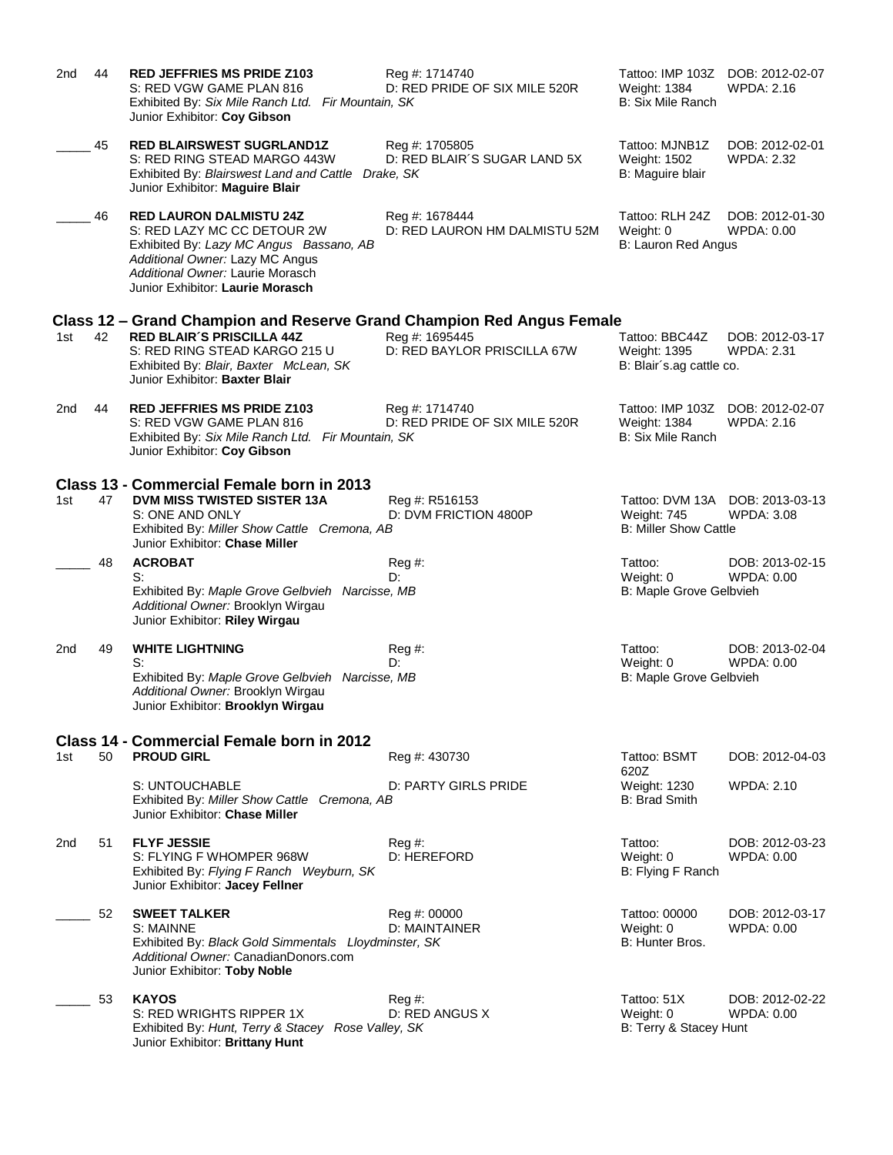| 2nd | 44 | <b>RED JEFFRIES MS PRIDE Z103</b><br>S: RED VGW GAME PLAN 816<br>Exhibited By: Six Mile Ranch Ltd. Fir Mountain, SK<br>Junior Exhibitor: Coy Gibson                                                                 | Reg #: 1714740<br>D: RED PRIDE OF SIX MILE 520R             | Tattoo: IMP 103Z<br>Weight: 1384<br><b>B: Six Mile Ranch</b>   | DOB: 2012-02-07<br>WPDA: 2.16        |
|-----|----|---------------------------------------------------------------------------------------------------------------------------------------------------------------------------------------------------------------------|-------------------------------------------------------------|----------------------------------------------------------------|--------------------------------------|
|     | 45 | <b>RED BLAIRSWEST SUGRLAND1Z</b><br>S: RED RING STEAD MARGO 443W<br>Exhibited By: Blairswest Land and Cattle<br>Junior Exhibitor: Maguire Blair                                                                     | Reg #: 1705805<br>D: RED BLAIR'S SUGAR LAND 5X<br>Drake, SK | Tattoo: MJNB1Z<br>Weight: 1502<br>B: Maguire blair             | DOB: 2012-02-01<br><b>WPDA: 2.32</b> |
|     | 46 | <b>RED LAURON DALMISTU 24Z</b><br>S: RED LAZY MC CC DETOUR 2W<br>Exhibited By: Lazy MC Angus Bassano, AB<br>Additional Owner: Lazy MC Angus<br>Additional Owner: Laurie Morasch<br>Junior Exhibitor: Laurie Morasch | Reg #: 1678444<br>D: RED LAURON HM DALMISTU 52M             | Tattoo: RLH 24Z<br>Weight: 0<br>B: Lauron Red Angus            | DOB: 2012-01-30<br>WPDA: 0.00        |
|     |    | Class 12 – Grand Champion and Reserve Grand Champion Red Angus Female                                                                                                                                               |                                                             |                                                                |                                      |
| 1st | 42 | <b>RED BLAIR'S PRISCILLA 44Z</b><br>S: RED RING STEAD KARGO 215 U<br>Exhibited By: Blair, Baxter McLean, SK<br>Junior Exhibitor: Baxter Blair                                                                       | Reg #: 1695445<br>D: RED BAYLOR PRISCILLA 67W               | Tattoo: BBC44Z<br>Weight: 1395<br>B: Blair's ag cattle co.     | DOB: 2012-03-17<br><b>WPDA: 2.31</b> |
| 2nd | 44 | <b>RED JEFFRIES MS PRIDE Z103</b><br>S: RED VGW GAME PLAN 816<br>Exhibited By: Six Mile Ranch Ltd. Fir Mountain, SK<br>Junior Exhibitor: Coy Gibson                                                                 | Reg #: 1714740<br>D: RED PRIDE OF SIX MILE 520R             | Tattoo: IMP 103Z<br>Weight: 1384<br><b>B: Six Mile Ranch</b>   | DOB: 2012-02-07<br><b>WPDA: 2.16</b> |
|     |    | Class 13 - Commercial Female born in 2013                                                                                                                                                                           |                                                             |                                                                |                                      |
| 1st | 47 | DVM MISS TWISTED SISTER 13A<br>S: ONE AND ONLY<br>Exhibited By: Miller Show Cattle Cremona, AB<br>Junior Exhibitor: Chase Miller                                                                                    | Reg #: R516153<br>D: DVM FRICTION 4800P                     | Tattoo: DVM 13A<br>Weight: 745<br><b>B: Miller Show Cattle</b> | DOB: 2013-03-13<br><b>WPDA: 3.08</b> |
|     | 48 | <b>ACROBAT</b>                                                                                                                                                                                                      | Reg #:                                                      | Tattoo:                                                        | DOB: 2013-02-15                      |
|     |    | S:<br>Exhibited By: Maple Grove Gelbvieh Narcisse, MB<br>Additional Owner: Brooklyn Wirgau<br>Junior Exhibitor: Riley Wirgau                                                                                        | D:                                                          | Weight: 0<br>B: Maple Grove Gelbvieh                           | WPDA: 0.00                           |
| 2nd | 49 | <b>WHITE LIGHTNING</b>                                                                                                                                                                                              | Reg #:                                                      | Tattoo:                                                        | DOB: 2013-02-04                      |
|     |    | S:<br>Exhibited By: Maple Grove Gelbvieh Narcisse, MB<br>Additional Owner: Brooklyn Wirgau<br>Junior Exhibitor: Brooklyn Wirgau                                                                                     | D:                                                          | Weight: 0<br>B: Maple Grove Gelbvieh                           | WPDA: 0.00                           |
|     |    | Class 14 - Commercial Female born in 2012                                                                                                                                                                           |                                                             |                                                                |                                      |
| 1st | 50 | <b>PROUD GIRL</b>                                                                                                                                                                                                   | Reg #: 430730                                               | Tattoo: BSMT<br>620Z                                           | DOB: 2012-04-03                      |
|     |    | S: UNTOUCHABLE<br>Exhibited By: Miller Show Cattle Cremona, AB<br>Junior Exhibitor: Chase Miller                                                                                                                    | D: PARTY GIRLS PRIDE                                        | Weight: 1230<br><b>B: Brad Smith</b>                           | WPDA: 2.10                           |
| 2nd | 51 | <b>FLYF JESSIE</b><br>S: FLYING F WHOMPER 968W<br>Exhibited By: Flying F Ranch Weyburn, SK<br>Junior Exhibitor: Jacey Fellner                                                                                       | $Reg#$ :<br>D: HEREFORD                                     | Tattoo:<br>Weight: 0<br>B: Flying F Ranch                      | DOB: 2012-03-23<br>WPDA: 0.00        |
|     | 52 | <b>SWEET TALKER</b><br>S: MAINNE<br>Exhibited By: Black Gold Simmentals Lloydminster, SK<br>Additional Owner: CanadianDonors.com<br>Junior Exhibitor: Toby Noble                                                    | Reg #: 00000<br>D: MAINTAINER                               | Tattoo: 00000<br>Weight: 0<br>B: Hunter Bros.                  | DOB: 2012-03-17<br><b>WPDA: 0.00</b> |
|     | 53 | <b>KAYOS</b><br>S: RED WRIGHTS RIPPER 1X<br>Exhibited By: Hunt, Terry & Stacey Rose Valley, SK<br>Junior Exhibitor: Brittany Hunt                                                                                   | $Reg#$ :<br>D: RED ANGUS X                                  | Tattoo: 51X<br>Weight: 0<br>B: Terry & Stacey Hunt             | DOB: 2012-02-22<br><b>WPDA: 0.00</b> |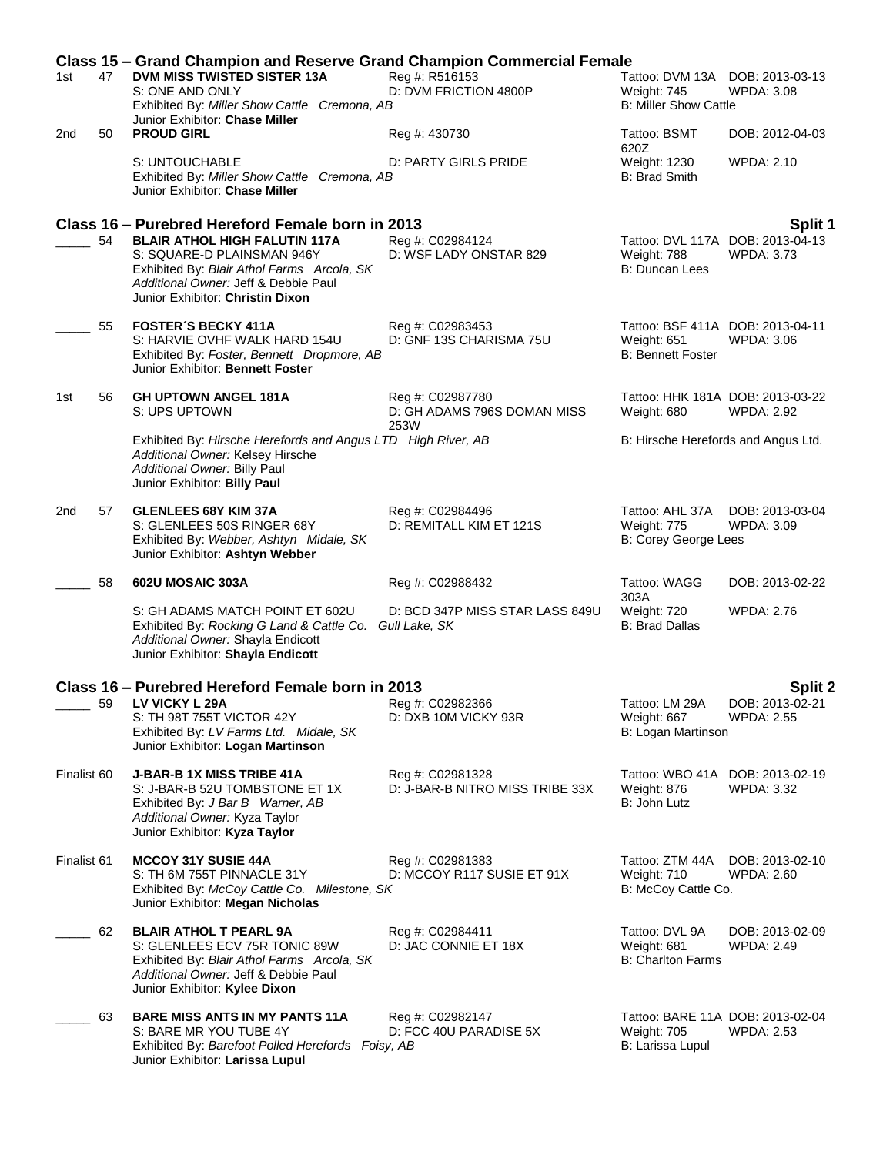|             |    | <b>Class 15 – Grand Champion and Reserve Grand Champion Commercial Female</b>                                                                                                                                                                    |                                                         |                                                                                |                                                                  |
|-------------|----|--------------------------------------------------------------------------------------------------------------------------------------------------------------------------------------------------------------------------------------------------|---------------------------------------------------------|--------------------------------------------------------------------------------|------------------------------------------------------------------|
| 1st         | 47 | DVM MISS TWISTED SISTER 13A<br>S: ONE AND ONLY<br>Exhibited By: Miller Show Cattle Cremona, AB                                                                                                                                                   | Reg #: R516153<br>D: DVM FRICTION 4800P                 | Tattoo: DVM 13A DOB: 2013-03-13<br>Weight: 745<br><b>B: Miller Show Cattle</b> | <b>WPDA: 3.08</b>                                                |
| 2nd         | 50 | Junior Exhibitor: Chase Miller<br><b>PROUD GIRL</b>                                                                                                                                                                                              | Reg #: 430730                                           | Tattoo: BSMT                                                                   | DOB: 2012-04-03                                                  |
|             |    | S: UNTOUCHABLE<br>Exhibited By: Miller Show Cattle Cremona, AB<br>Junior Exhibitor: Chase Miller                                                                                                                                                 | D: PARTY GIRLS PRIDE                                    | 620Z<br>Weight: 1230<br><b>B: Brad Smith</b>                                   | WPDA: 2.10                                                       |
|             | 54 | Class 16 – Purebred Hereford Female born in 2013<br><b>BLAIR ATHOL HIGH FALUTIN 117A</b><br>S: SQUARE-D PLAINSMAN 946Y<br>Exhibited By: Blair Athol Farms Arcola, SK<br>Additional Owner: Jeff & Debbie Paul<br>Junior Exhibitor: Christin Dixon | Reg #: C02984124<br>D: WSF LADY ONSTAR 829              | Weight: 788<br>B: Duncan Lees                                                  | Split 1<br>Tattoo: DVL 117A DOB: 2013-04-13<br><b>WPDA: 3.73</b> |
|             | 55 | <b>FOSTER'S BECKY 411A</b><br>S: HARVIE OVHF WALK HARD 154U<br>Exhibited By: Foster, Bennett Dropmore, AB<br>Junior Exhibitor: Bennett Foster                                                                                                    | Reg #: C02983453<br>D: GNF 13S CHARISMA 75U             | Tattoo: BSF 411A DOB: 2013-04-11<br>Weight: 651<br><b>B: Bennett Foster</b>    | WPDA: 3.06                                                       |
| 1st         | 56 | <b>GH UPTOWN ANGEL 181A</b><br>S: UPS UPTOWN                                                                                                                                                                                                     | Reg #: C02987780<br>D: GH ADAMS 796S DOMAN MISS<br>253W | Tattoo: HHK 181A DOB: 2013-03-22<br>Weight: 680                                | <b>WPDA: 2.92</b>                                                |
|             |    | Exhibited By: Hirsche Herefords and Angus LTD High River, AB<br>Additional Owner: Kelsey Hirsche<br>Additional Owner: Billy Paul<br>Junior Exhibitor: Billy Paul                                                                                 |                                                         | B: Hirsche Herefords and Angus Ltd.                                            |                                                                  |
| 2nd         | 57 | <b>GLENLEES 68Y KIM 37A</b><br>S: GLENLEES 50S RINGER 68Y<br>Exhibited By: Webber, Ashtyn Midale, SK<br>Junior Exhibitor: Ashtyn Webber                                                                                                          | Reg #: C02984496<br>D: REMITALL KIM ET 121S             | Tattoo: AHL 37A<br>Weight: 775<br>B: Corey George Lees                         | DOB: 2013-03-04<br>WPDA: 3.09                                    |
|             | 58 | 602U MOSAIC 303A                                                                                                                                                                                                                                 | Reg #: C02988432                                        | Tattoo: WAGG<br>303A                                                           | DOB: 2013-02-22                                                  |
|             |    | S: GH ADAMS MATCH POINT ET 602U<br>Exhibited By: Rocking G Land & Cattle Co. Gull Lake, SK<br>Additional Owner: Shayla Endicott<br>Junior Exhibitor: Shayla Endicott                                                                             | D: BCD 347P MISS STAR LASS 849U                         | Weight: 720<br>B: Brad Dallas                                                  | <b>WPDA: 2.76</b>                                                |
|             |    | Class 16 - Purebred Hereford Female born in 2013                                                                                                                                                                                                 |                                                         |                                                                                | <b>Split 2</b>                                                   |
|             | 59 | LV VICKY L 29A<br>S: TH 98T 755T VICTOR 42Y<br>Exhibited By: LV Farms Ltd. Midale, SK<br>Junior Exhibitor: Logan Martinson                                                                                                                       | Reg #: C02982366<br>D: DXB 10M VICKY 93R                | Tattoo: LM 29A<br>Weight: 667<br>B: Logan Martinson                            | DOB: 2013-02-21<br><b>WPDA: 2.55</b>                             |
| Finalist 60 |    | <b>J-BAR-B 1X MISS TRIBE 41A</b><br>S: J-BAR-B 52U TOMBSTONE ET 1X<br>Exhibited By: J Bar B Warner, AB<br>Additional Owner: Kyza Taylor<br>Junior Exhibitor: Kyza Taylor                                                                         | Reg #: C02981328<br>D: J-BAR-B NITRO MISS TRIBE 33X     | Tattoo: WBO 41A DOB: 2013-02-19<br>Weight: 876<br>B: John Lutz                 | <b>WPDA: 3.32</b>                                                |
| Finalist 61 |    | <b>MCCOY 31Y SUSIE 44A</b><br>S: TH 6M 755T PINNACLE 31Y<br>Exhibited By: McCoy Cattle Co. Milestone, SK<br>Junior Exhibitor: Megan Nicholas                                                                                                     | Reg #: C02981383<br>D: MCCOY R117 SUSIE ET 91X          | Tattoo: ZTM 44A<br>Weight: 710<br>B: McCoy Cattle Co.                          | DOB: 2013-02-10<br><b>WPDA: 2.60</b>                             |
|             | 62 | <b>BLAIR ATHOL T PEARL 9A</b><br>S: GLENLEES ECV 75R TONIC 89W<br>Exhibited By: Blair Athol Farms Arcola, SK<br>Additional Owner: Jeff & Debbie Paul<br>Junior Exhibitor: Kylee Dixon                                                            | Reg #: C02984411<br>D: JAC CONNIE ET 18X                | Tattoo: DVL 9A<br>Weight: 681<br><b>B: Charlton Farms</b>                      | DOB: 2013-02-09<br><b>WPDA: 2.49</b>                             |
|             | 63 | <b>BARE MISS ANTS IN MY PANTS 11A</b><br>S: BARE MR YOU TUBE 4Y<br>Exhibited By: Barefoot Polled Herefords Foisy, AB<br>Junior Exhibitor: Larissa Lupul                                                                                          | Reg #: C02982147<br>D: FCC 40U PARADISE 5X              | <b>Weight: 705</b><br>B: Larissa Lupul                                         | Tattoo: BARE 11A DOB: 2013-02-04<br><b>WPDA: 2.53</b>            |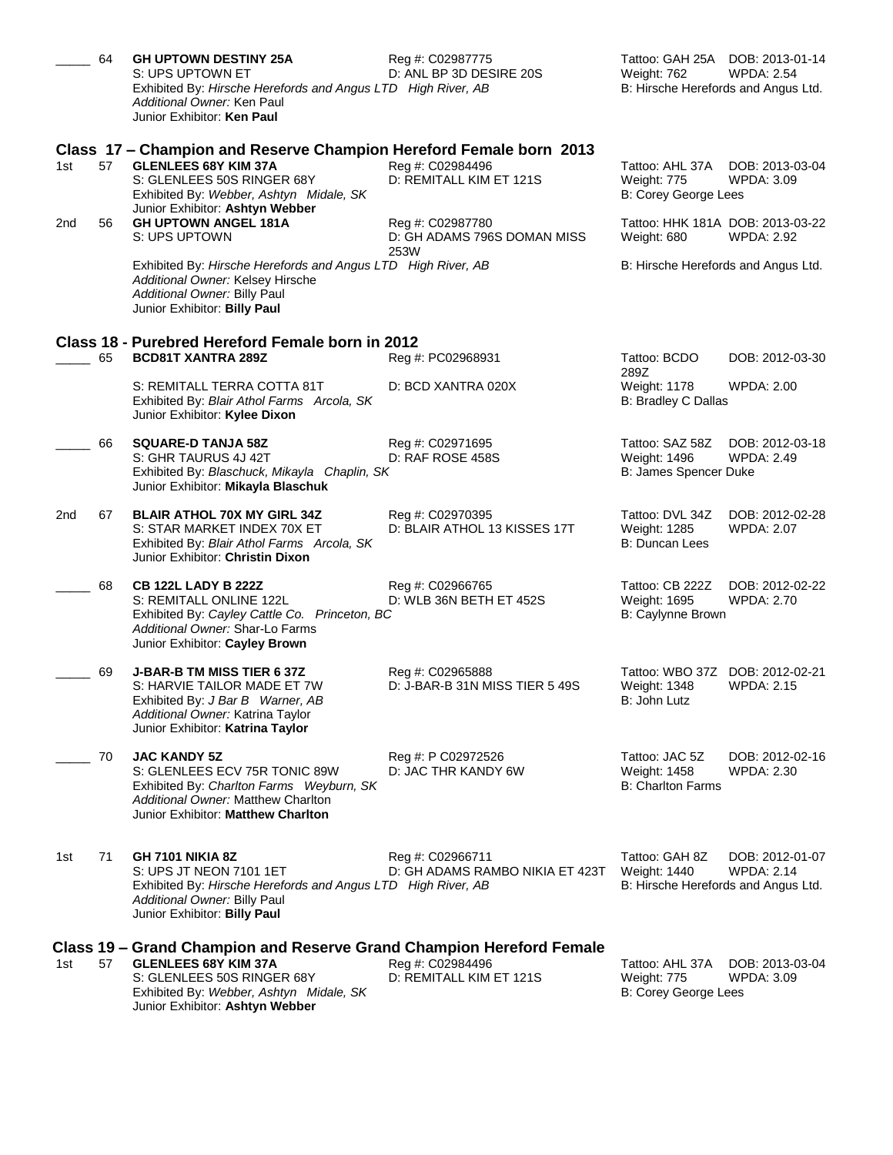|     | 64 | <b>GH UPTOWN DESTINY 25A</b><br>S: UPS UPTOWN ET<br>Exhibited By: Hirsche Herefords and Angus LTD High River, AB<br>Additional Owner: Ken Paul<br>Junior Exhibitor: Ken Paul                                    | Reg #: C02987775<br>D: ANL BP 3D DESIRE 20S             | Tattoo: GAH 25A DOB: 2013-01-14<br>Weight: 762<br>B: Hirsche Herefords and Angus Ltd. | <b>WPDA: 2.54</b>                    |
|-----|----|-----------------------------------------------------------------------------------------------------------------------------------------------------------------------------------------------------------------|---------------------------------------------------------|---------------------------------------------------------------------------------------|--------------------------------------|
| 1st | 57 | Class 17 – Champion and Reserve Champion Hereford Female born 2013<br><b>GLENLEES 68Y KIM 37A</b><br>S: GLENLEES 50S RINGER 68Y<br>Exhibited By: Webber, Ashtyn Midale, SK<br>Junior Exhibitor: Ashtyn Webber   | Reg #: C02984496<br>D: REMITALL KIM ET 121S             | Tattoo: AHL 37A<br>Weight: 775<br>B: Corey George Lees                                | DOB: 2013-03-04<br><b>WPDA: 3.09</b> |
| 2nd | 56 | <b>GH UPTOWN ANGEL 181A</b><br>S: UPS UPTOWN                                                                                                                                                                    | Reg #: C02987780<br>D: GH ADAMS 796S DOMAN MISS<br>253W | Tattoo: HHK 181A DOB: 2013-03-22<br>Weight: 680                                       | <b>WPDA: 2.92</b>                    |
|     |    | Exhibited By: Hirsche Herefords and Angus LTD High River, AB<br>Additional Owner: Kelsey Hirsche<br>Additional Owner: Billy Paul<br>Junior Exhibitor: Billy Paul                                                |                                                         | B: Hirsche Herefords and Angus Ltd.                                                   |                                      |
|     |    | Class 18 - Purebred Hereford Female born in 2012                                                                                                                                                                |                                                         |                                                                                       |                                      |
|     | 65 | <b>BCD81T XANTRA 289Z</b>                                                                                                                                                                                       | Reg #: PC02968931                                       | Tattoo: BCDO<br>289Z                                                                  | DOB: 2012-03-30                      |
|     |    | S: REMITALL TERRA COTTA 81T<br>Exhibited By: Blair Athol Farms Arcola, SK<br>Junior Exhibitor: Kylee Dixon                                                                                                      | D: BCD XANTRA 020X                                      | Weight: 1178<br>B: Bradley C Dallas                                                   | <b>WPDA: 2.00</b>                    |
|     | 66 | <b>SQUARE-D TANJA 58Z</b><br>S: GHR TAURUS 4J 42T<br>Exhibited By: Blaschuck, Mikayla Chaplin, SK<br>Junior Exhibitor: Mikayla Blaschuk                                                                         | Reg #: C02971695<br>D: RAF ROSE 458S                    | Tattoo: SAZ 58Z<br>Weight: 1496<br>B: James Spencer Duke                              | DOB: 2012-03-18<br><b>WPDA: 2.49</b> |
| 2nd | 67 | <b>BLAIR ATHOL 70X MY GIRL 34Z</b><br>S: STAR MARKET INDEX 70X ET<br>Exhibited By: Blair Athol Farms Arcola, SK<br>Junior Exhibitor: Christin Dixon                                                             | Reg #: C02970395<br>D: BLAIR ATHOL 13 KISSES 17T        | Tattoo: DVL 34Z<br>Weight: 1285<br>B: Duncan Lees                                     | DOB: 2012-02-28<br><b>WPDA: 2.07</b> |
|     | 68 | <b>CB 122L LADY B 222Z</b><br>S: REMITALL ONLINE 122L<br>Exhibited By: Cayley Cattle Co. Princeton, BC<br>Additional Owner: Shar-Lo Farms<br>Junior Exhibitor: Cayley Brown                                     | Reg #: C02966765<br>D: WLB 36N BETH ET 452S             | Tattoo: CB 222Z<br>Weight: 1695<br>B: Caylynne Brown                                  | DOB: 2012-02-22<br><b>WPDA: 2.70</b> |
|     | 69 | <b>J-BAR-B TM MISS TIER 6 37Z</b><br>S: HARVIE TAILOR MADE ET 7W<br>Exhibited By: J Bar B Warner, AB<br>Additional Owner: Katrina Taylor<br>Junior Exhibitor: Katrina Taylor                                    | Reg #: C02965888<br>D: J-BAR-B 31N MISS TIER 5 49S      | Tattoo: WBO 37Z DOB: 2012-02-21<br>Weight: 1348<br>B: John Lutz                       | <b>WPDA: 2.15</b>                    |
|     | 70 | <b>JAC KANDY 5Z</b><br>S: GLENLEES ECV 75R TONIC 89W<br>Exhibited By: Charlton Farms Weyburn, SK<br>Additional Owner: Matthew Charlton<br>Junior Exhibitor: Matthew Charlton                                    | Reg #: P C02972526<br>D: JAC THR KANDY 6W               | Tattoo: JAC 5Z<br>Weight: 1458<br><b>B: Charlton Farms</b>                            | DOB: 2012-02-16<br>WPDA: 2.30        |
| 1st | 71 | <b>GH 7101 NIKIA 8Z</b><br>S: UPS JT NEON 7101 1ET<br>Exhibited By: Hirsche Herefords and Angus LTD High River, AB<br>Additional Owner: Billy Paul<br>Junior Exhibitor: Billy Paul                              | Reg #: C02966711<br>D: GH ADAMS RAMBO NIKIA ET 423T     | Tattoo: GAH 8Z<br>Weight: 1440<br>B: Hirsche Herefords and Angus Ltd.                 | DOB: 2012-01-07<br><b>WPDA: 2.14</b> |
| 1st | 57 | Class 19 – Grand Champion and Reserve Grand Champion Hereford Female<br><b>GLENLEES 68Y KIM 37A</b><br>S: GLENLEES 50S RINGER 68Y<br>Exhibited By: Webber, Ashtyn Midale, SK<br>Junior Exhibitor: Ashtyn Webber | Reg #: C02984496<br>D: REMITALL KIM ET 121S             | Tattoo: AHL 37A<br>Weight: 775<br>B: Corey George Lees                                | DOB: 2013-03-04<br><b>WPDA: 3.09</b> |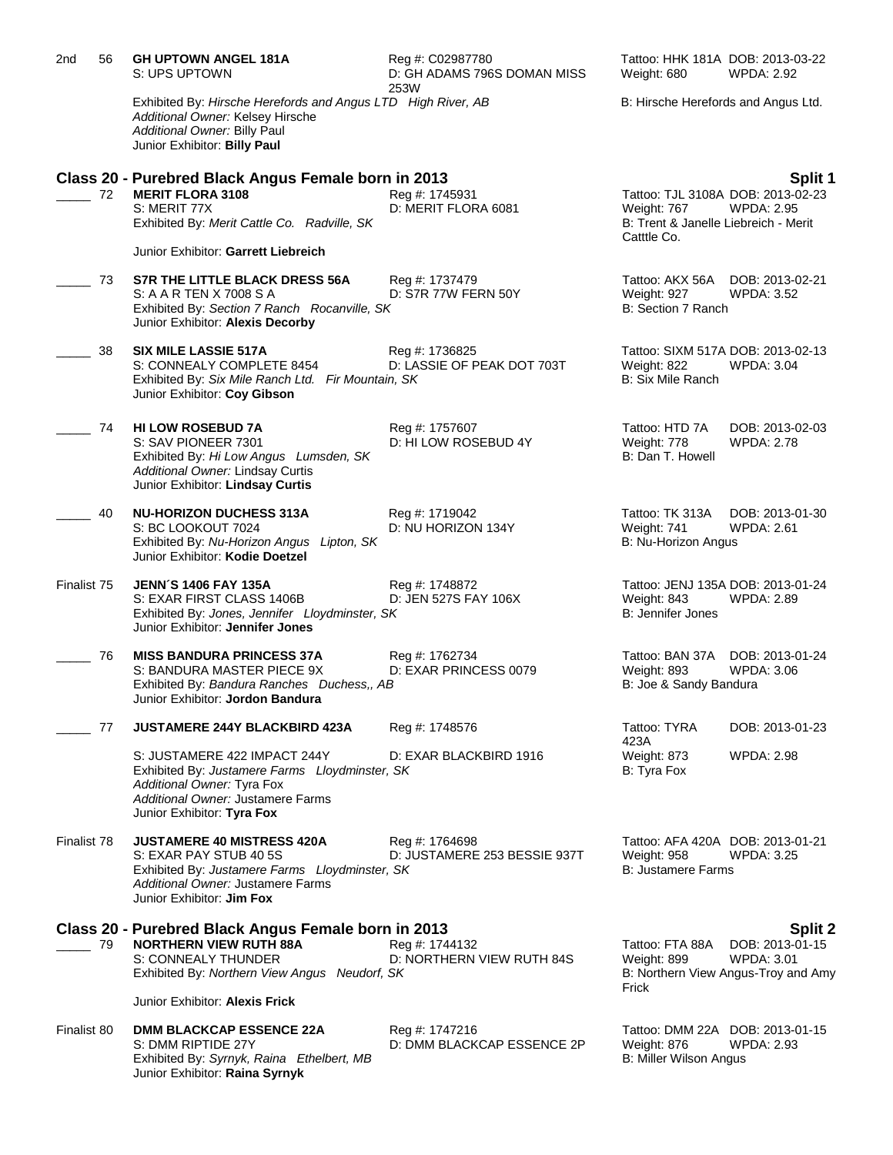| 2nd         | 56 | <b>GH UPTOWN ANGEL 181A</b><br>S: UPS UPTOWN                                                                                                                                                   | Reg #: C02987780<br>D: GH ADAMS 796S DOMAN MISS<br>253W | Tattoo: HHK 181A DOB: 2013-03-22<br>Weight: 680                                                         | <b>WPDA: 2.92</b>                                                                      |
|-------------|----|------------------------------------------------------------------------------------------------------------------------------------------------------------------------------------------------|---------------------------------------------------------|---------------------------------------------------------------------------------------------------------|----------------------------------------------------------------------------------------|
|             |    | Exhibited By: Hirsche Herefords and Angus LTD High River, AB<br>Additional Owner: Kelsey Hirsche<br>Additional Owner: Billy Paul<br>Junior Exhibitor: Billy Paul                               |                                                         | B: Hirsche Herefords and Angus Ltd.                                                                     |                                                                                        |
|             | 72 | Class 20 - Purebred Black Angus Female born in 2013<br><b>MERIT FLORA 3108</b><br>S: MERIT 77X<br>Exhibited By: Merit Cattle Co. Radville, SK<br>Junior Exhibitor: Garrett Liebreich           | Reg #: 1745931<br>D: MERIT FLORA 6081                   | Tattoo: TJL 3108A DOB: 2013-02-23<br>Weight: 767<br>B: Trent & Janelle Liebreich - Merit<br>Catttle Co. | Split 1<br><b>WPDA: 2.95</b>                                                           |
|             | 73 | S7R THE LITTLE BLACK DRESS 56A<br>S: A A R TEN X 7008 S A<br>Exhibited By: Section 7 Ranch Rocanville, SK<br>Junior Exhibitor: Alexis Decorby                                                  | Reg #: 1737479<br>D: S7R 77W FERN 50Y                   | Tattoo: AKX 56A<br>Weight: 927<br>B: Section 7 Ranch                                                    | DOB: 2013-02-21<br><b>WPDA: 3.52</b>                                                   |
|             | 38 | <b>SIX MILE LASSIE 517A</b><br>S: CONNEALY COMPLETE 8454<br>Exhibited By: Six Mile Ranch Ltd. Fir Mountain, SK<br>Junior Exhibitor: Coy Gibson                                                 | Reg #: 1736825<br>D: LASSIE OF PEAK DOT 703T            | Tattoo: SIXM 517A DOB: 2013-02-13<br>Weight: 822<br><b>B: Six Mile Ranch</b>                            | <b>WPDA: 3.04</b>                                                                      |
|             | 74 | <b>HI LOW ROSEBUD 7A</b><br>S: SAV PIONEER 7301<br>Exhibited By: Hi Low Angus Lumsden, SK<br>Additional Owner: Lindsay Curtis<br>Junior Exhibitor: Lindsay Curtis                              | Reg #: 1757607<br>D: HI LOW ROSEBUD 4Y                  | Tattoo: HTD 7A<br>Weight: 778<br>B: Dan T. Howell                                                       | DOB: 2013-02-03<br><b>WPDA: 2.78</b>                                                   |
|             | 40 | <b>NU-HORIZON DUCHESS 313A</b><br>S: BC LOOKOUT 7024<br>Exhibited By: Nu-Horizon Angus Lipton, SK<br>Junior Exhibitor: Kodie Doetzel                                                           | Reg #: 1719042<br>D: NU HORIZON 134Y                    | Tattoo: TK 313A<br>Weight: 741<br>B: Nu-Horizon Angus                                                   | DOB: 2013-01-30<br>WPDA: 2.61                                                          |
| Finalist 75 |    | <b>JENN'S 1406 FAY 135A</b><br>S: EXAR FIRST CLASS 1406B<br>Exhibited By: Jones, Jennifer Lloydminster, SK<br>Junior Exhibitor: Jennifer Jones                                                 | Reg #: 1748872<br>D: JEN 527S FAY 106X                  | Tattoo: JENJ 135A DOB: 2013-01-24<br>Weight: 843<br><b>B: Jennifer Jones</b>                            | <b>WPDA: 2.89</b>                                                                      |
|             | 76 | <b>MISS BANDURA PRINCESS 37A</b><br>S: BANDURA MASTER PIECE 9X<br>Exhibited By: Bandura Ranches Duchess,, AB<br>Junior Exhibitor: Jordon Bandura                                               | Reg #: 1762734<br>D: EXAR PRINCESS 0079                 | Tattoo: BAN 37A DOB: 2013-01-24<br>Weight: 893<br>B: Joe & Sandy Bandura                                | WPDA: 3.06                                                                             |
|             | 77 | JUSTAMERE 244Y BLACKBIRD 423A                                                                                                                                                                  | Reg #: 1748576                                          | Tattoo: TYRA                                                                                            | DOB: 2013-01-23                                                                        |
|             |    | S: JUSTAMERE 422 IMPACT 244Y<br>Exhibited By: Justamere Farms Lloydminster, SK<br>Additional Owner: Tyra Fox<br>Additional Owner: Justamere Farms<br>Junior Exhibitor: Tyra Fox                | D: EXAR BLACKBIRD 1916                                  | 423A<br>Weight: 873<br>B: Tyra Fox                                                                      | <b>WPDA: 2.98</b>                                                                      |
| Finalist 78 |    | <b>JUSTAMERE 40 MISTRESS 420A</b><br>S: EXAR PAY STUB 40 5S<br>Exhibited By: Justamere Farms Lloydminster, SK<br>Additional Owner: Justamere Farms<br>Junior Exhibitor: <b>Jim Fox</b>         | Reg #: 1764698<br>D: JUSTAMERE 253 BESSIE 937T          | Tattoo: AFA 420A DOB: 2013-01-21<br>Weight: 958<br><b>B: Justamere Farms</b>                            | <b>WPDA: 3.25</b>                                                                      |
|             | 79 | Class 20 - Purebred Black Angus Female born in 2013<br><b>NORTHERN VIEW RUTH 88A</b><br>S: CONNEALY THUNDER<br>Exhibited By: Northern View Angus Neudorf, SK<br>Junior Exhibitor: Alexis Frick | Reg #: 1744132<br>D: NORTHERN VIEW RUTH 84S             | Tattoo: FTA 88A<br>Weight: 899<br>Frick                                                                 | Split 2<br>DOB: 2013-01-15<br><b>WPDA: 3.01</b><br>B: Northern View Angus-Troy and Amy |
| Finalist 80 |    | <b>DMM BLACKCAP ESSENCE 22A</b><br>S: DMM RIPTIDE 27Y<br>Exhibited By: Syrnyk, Raina Ethelbert, MB<br>Junior Exhibitor: Raina Syrnyk                                                           | Reg #: 1747216<br>D: DMM BLACKCAP ESSENCE 2P            | Tattoo: DMM 22A DOB: 2013-01-15<br>Weight: 876<br><b>B: Miller Wilson Angus</b>                         | <b>WPDA: 2.93</b>                                                                      |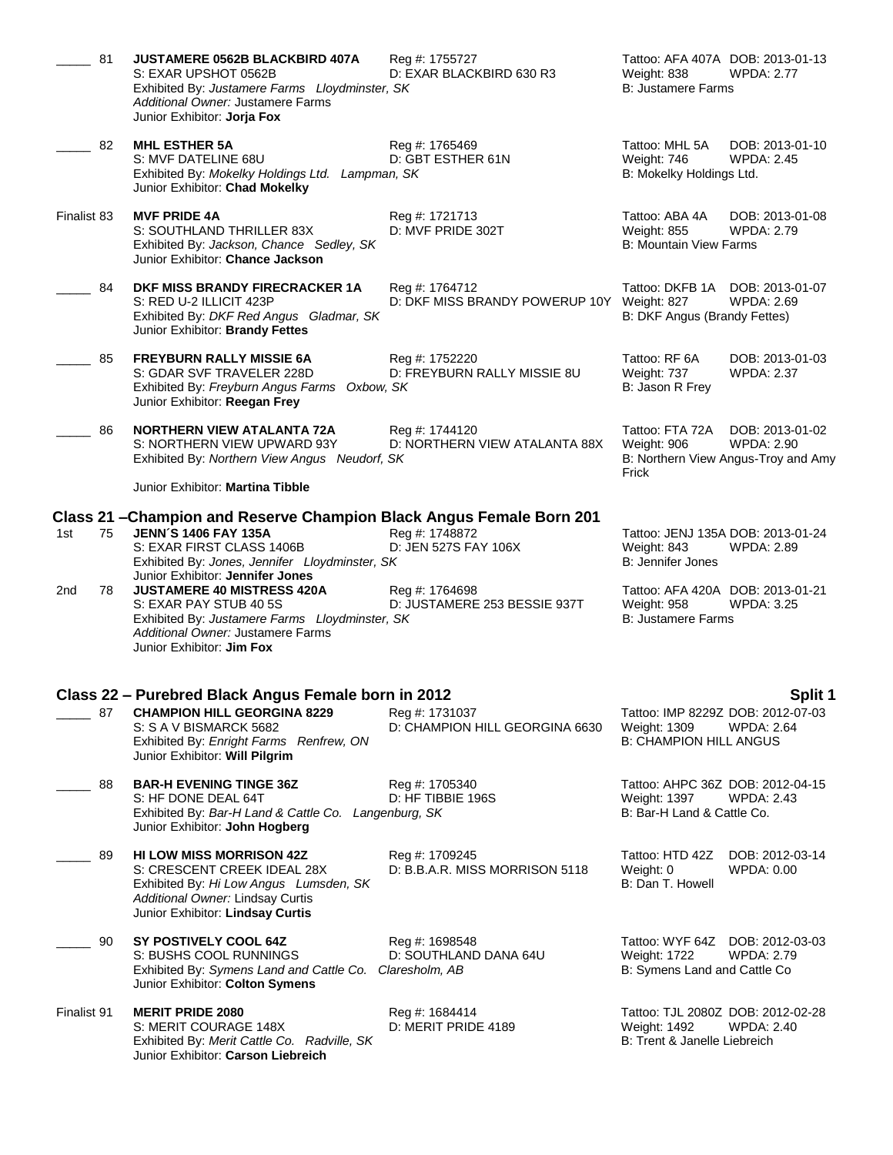|             | 81 | JUSTAMERE 0562B BLACKBIRD 407A<br>S: EXAR UPSHOT 0562B<br>Exhibited By: Justamere Farms Lloydminster, SK<br>Additional Owner: Justamere Farms<br>Junior Exhibitor: Jorja Fox                                           | Reg #: 1755727<br>D: EXAR BLACKBIRD 630 R3                   | Tattoo: AFA 407A DOB: 2013-01-13<br>Weight: 838<br><b>B: Justamere Farms</b>              | <b>WPDA: 2.77</b>                                                           |
|-------------|----|------------------------------------------------------------------------------------------------------------------------------------------------------------------------------------------------------------------------|--------------------------------------------------------------|-------------------------------------------------------------------------------------------|-----------------------------------------------------------------------------|
|             | 82 | <b>MHL ESTHER 5A</b><br>S: MVF DATELINE 68U<br>Exhibited By: Mokelky Holdings Ltd. Lampman, SK<br>Junior Exhibitor: Chad Mokelky                                                                                       | Reg #: 1765469<br>D: GBT ESTHER 61N                          | Tattoo: MHL 5A<br>Weight: 746<br>B: Mokelky Holdings Ltd.                                 | DOB: 2013-01-10<br><b>WPDA: 2.45</b>                                        |
| Finalist 83 |    | <b>MVF PRIDE 4A</b><br>S: SOUTHLAND THRILLER 83X<br>Exhibited By: Jackson, Chance Sedley, SK<br>Junior Exhibitor: Chance Jackson                                                                                       | Reg #: 1721713<br>D: MVF PRIDE 302T                          | Tattoo: ABA 4A<br>Weight: 855<br><b>B: Mountain View Farms</b>                            | DOB: 2013-01-08<br><b>WPDA: 2.79</b>                                        |
|             | 84 | DKF MISS BRANDY FIRECRACKER 1A<br>S: RED U-2 ILLICIT 423P<br>Exhibited By: DKF Red Angus Gladmar, SK<br>Junior Exhibitor: Brandy Fettes                                                                                | Reg #: 1764712<br>D: DKF MISS BRANDY POWERUP 10Y Weight: 827 | Tattoo: DKFB 1A DOB: 2013-01-07<br>B: DKF Angus (Brandy Fettes)                           | WPDA: 2.69                                                                  |
|             | 85 | <b>FREYBURN RALLY MISSIE 6A</b><br>S: GDAR SVF TRAVELER 228D<br>Exhibited By: Freyburn Angus Farms Oxbow, SK<br>Junior Exhibitor: Reegan Frey                                                                          | Reg #: 1752220<br>D: FREYBURN RALLY MISSIE 8U                | Tattoo: RF 6A<br>Weight: 737<br>B: Jason R Frey                                           | DOB: 2013-01-03<br><b>WPDA: 2.37</b>                                        |
|             | 86 | <b>NORTHERN VIEW ATALANTA 72A</b><br>S: NORTHERN VIEW UPWARD 93Y<br>Exhibited By: Northern View Angus Neudorf, SK<br>Junior Exhibitor: Martina Tibble                                                                  | Reg #: 1744120<br>D: NORTHERN VIEW ATALANTA 88X              | Tattoo: FTA 72A<br>Weight: 906<br>Frick                                                   | DOB: 2013-01-02<br><b>WPDA: 2.90</b><br>B: Northern View Angus-Troy and Amy |
|             |    |                                                                                                                                                                                                                        |                                                              |                                                                                           |                                                                             |
| 1st         | 75 | Class 21 - Champion and Reserve Champion Black Angus Female Born 201<br><b>JENN'S 1406 FAY 135A</b><br>S: EXAR FIRST CLASS 1406B<br>Exhibited By: Jones, Jennifer Lloydminster, SK<br>Junior Exhibitor: Jennifer Jones | Reg #: 1748872<br>D: JEN 527S FAY 106X                       | Tattoo: JENJ 135A DOB: 2013-01-24<br>Weight: 843<br><b>B: Jennifer Jones</b>              | <b>WPDA: 2.89</b>                                                           |
| 2nd         | 78 | <b>JUSTAMERE 40 MISTRESS 420A</b><br>S: EXAR PAY STUB 40 5S<br>Exhibited By: Justamere Farms Lloydminster, SK<br>Additional Owner: Justamere Farms<br>Junior Exhibitor: Jim Fox                                        | Reg #: 1764698<br>D: JUSTAMERE 253 BESSIE 937T               | Tattoo: AFA 420A DOB: 2013-01-21<br>Weight: 958<br><b>B: Justamere Farms</b>              | <b>WPDA: 3.25</b>                                                           |
|             |    | Class 22 - Purebred Black Angus Female born in 2012                                                                                                                                                                    |                                                              |                                                                                           | Split 1                                                                     |
|             | 87 | <b>CHAMPION HILL GEORGINA 8229</b><br>S: S A V BISMARCK 5682<br>Exhibited By: Enright Farms Renfrew, ON<br>Junior Exhibitor: Will Pilgrim                                                                              | Reg #: 1731037<br>D: CHAMPION HILL GEORGINA 6630             | Tattoo: IMP 8229Z DOB: 2012-07-03<br><b>Weight: 1309</b><br><b>B: CHAMPION HILL ANGUS</b> | WPDA: 2.64                                                                  |
|             | 88 | <b>BAR-H EVENING TINGE 36Z</b><br>S: HF DONE DEAL 64T<br>Exhibited By: Bar-H Land & Cattle Co. Langenburg, SK<br>Junior Exhibitor: John Hogberg                                                                        | Reg #: 1705340<br>D: HF TIBBIE 196S                          | Tattoo: AHPC 36Z DOB: 2012-04-15<br>Weight: 1397<br>B: Bar-H Land & Cattle Co.            | WPDA: 2.43                                                                  |
|             | 89 | <b>HI LOW MISS MORRISON 42Z</b><br>S: CRESCENT CREEK IDEAL 28X<br>Exhibited By: Hi Low Angus Lumsden, SK<br><b>Additional Owner: Lindsay Curtis</b><br>Junior Exhibitor: Lindsay Curtis                                | Reg #: 1709245<br>D: B.B.A.R. MISS MORRISON 5118             | Tattoo: HTD 42Z<br>Weight: 0<br>B: Dan T. Howell                                          | DOB: 2012-03-14<br>WPDA: 0.00                                               |
|             | 90 | SY POSTIVELY COOL 64Z<br>S: BUSHS COOL RUNNINGS<br>Exhibited By: Symens Land and Cattle Co. Claresholm, AB<br>Junior Exhibitor: Colton Symens                                                                          | Reg #: 1698548<br>D: SOUTHLAND DANA 64U                      | Tattoo: WYF 64Z DOB: 2012-03-03<br>Weight: 1722<br>B: Symens Land and Cattle Co           | WPDA: 2.79                                                                  |
| Finalist 91 |    | <b>MERIT PRIDE 2080</b><br>S: MERIT COURAGE 148X<br>Exhibited By: Merit Cattle Co. Radville, SK<br>Junior Exhibitor: Carson Liebreich                                                                                  | Reg #: 1684414<br>D: MERIT PRIDE 4189                        | Tattoo: TJL 2080Z DOB: 2012-02-28<br><b>Weight: 1492</b><br>B: Trent & Janelle Liebreich  | <b>WPDA: 2.40</b>                                                           |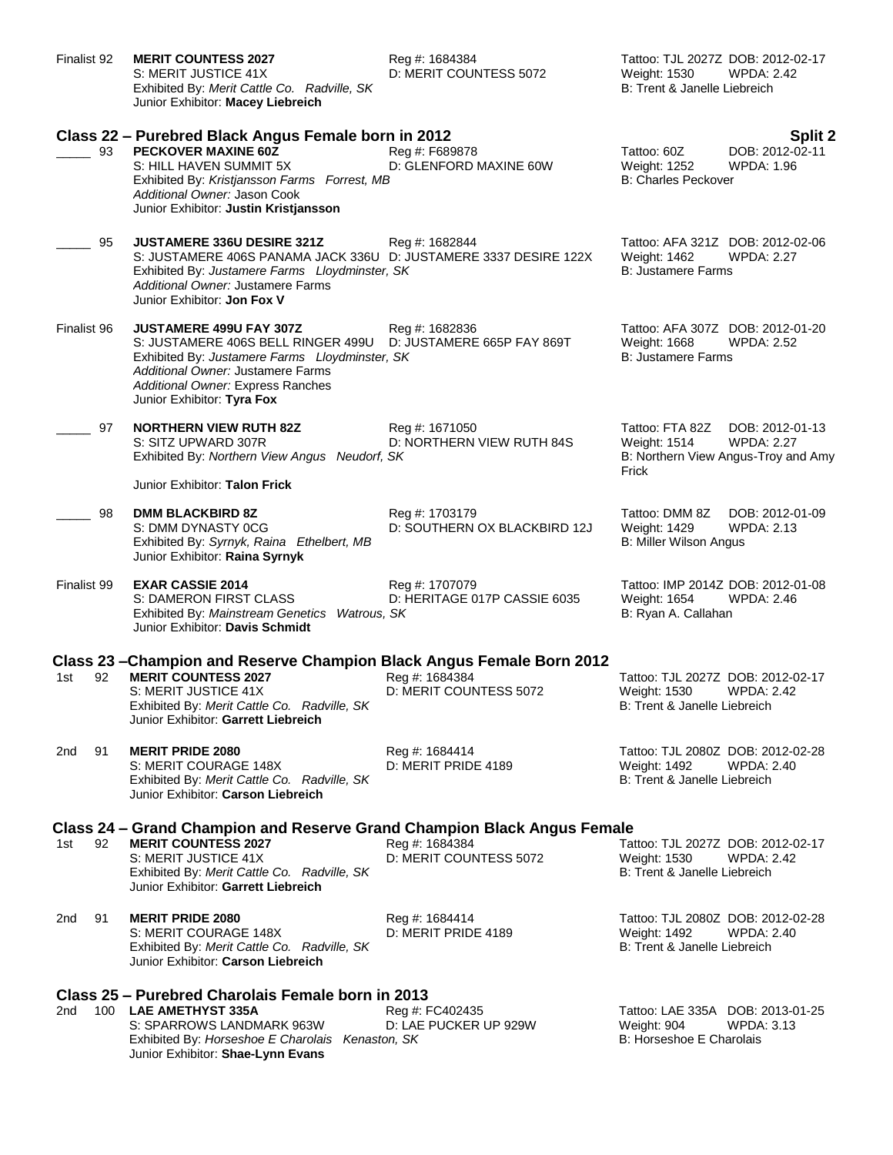| Finalist 92 |    | <b>MERIT COUNTESS 2027</b><br>S: MERIT JUSTICE 41X<br>Exhibited By: Merit Cattle Co. Radville, SK<br>Junior Exhibitor: Macey Liebreich                                                                                                             | Reg #: 1684384<br>D: MERIT COUNTESS 5072       | Tattoo: TJL 2027Z DOB: 2012-02-17<br>Weight: 1530<br><b>WPDA: 2.42</b><br>B: Trent & Janelle Liebreich                  |
|-------------|----|----------------------------------------------------------------------------------------------------------------------------------------------------------------------------------------------------------------------------------------------------|------------------------------------------------|-------------------------------------------------------------------------------------------------------------------------|
|             | 93 | Class 22 - Purebred Black Angus Female born in 2012<br><b>PECKOVER MAXINE 60Z</b><br>S: HILL HAVEN SUMMIT 5X<br>Exhibited By: Kristjansson Farms Forrest, MB<br>Additional Owner: Jason Cook<br>Junior Exhibitor: Justin Kristjansson              | Reg #: F689878<br>D: GLENFORD MAXINE 60W       | Split 2<br>DOB: 2012-02-11<br>Tattoo: 60Z<br><b>WPDA: 1.96</b><br>Weight: 1252<br><b>B: Charles Peckover</b>            |
|             | 95 | JUSTAMERE 336U DESIRE 321Z<br>S: JUSTAMERE 406S PANAMA JACK 336U D: JUSTAMERE 3337 DESIRE 122X<br>Exhibited By: Justamere Farms Lloydminster, SK<br>Additional Owner: Justamere Farms<br>Junior Exhibitor: Jon Fox V                               | Reg #: 1682844                                 | Tattoo: AFA 321Z DOB: 2012-02-06<br>Weight: 1462<br><b>WPDA: 2.27</b><br><b>B: Justamere Farms</b>                      |
| Finalist 96 |    | JUSTAMERE 499U FAY 307Z<br>S: JUSTAMERE 406S BELL RINGER 499U D: JUSTAMERE 665P FAY 869T<br>Exhibited By: Justamere Farms Lloydminster, SK<br>Additional Owner: Justamere Farms<br>Additional Owner: Express Ranches<br>Junior Exhibitor: Tyra Fox | Reg #: 1682836                                 | Tattoo: AFA 307Z DOB: 2012-01-20<br>Weight: 1668<br><b>WPDA: 2.52</b><br><b>B: Justamere Farms</b>                      |
|             | 97 | <b>NORTHERN VIEW RUTH 82Z</b><br>S: SITZ UPWARD 307R<br>Exhibited By: Northern View Angus Neudorf, SK                                                                                                                                              | Reg #: 1671050<br>D: NORTHERN VIEW RUTH 84S    | Tattoo: FTA 82Z<br>DOB: 2012-01-13<br><b>WPDA: 2.27</b><br>Weight: 1514<br>B: Northern View Angus-Troy and Amy<br>Frick |
|             | 98 | Junior Exhibitor: Talon Frick<br><b>DMM BLACKBIRD 8Z</b><br>S: DMM DYNASTY 0CG<br>Exhibited By: Syrnyk, Raina Ethelbert, MB<br>Junior Exhibitor: Raina Syrnyk                                                                                      | Reg #: 1703179<br>D: SOUTHERN OX BLACKBIRD 12J | Tattoo: DMM 8Z<br>DOB: 2012-01-09<br>Weight: 1429<br>WPDA: 2.13<br><b>B: Miller Wilson Angus</b>                        |
| Finalist 99 |    | <b>EXAR CASSIE 2014</b><br>S: DAMERON FIRST CLASS<br>Exhibited By: Mainstream Genetics Watrous, SK<br>Junior Exhibitor: Davis Schmidt                                                                                                              | Reg #: 1707079<br>D: HERITAGE 017P CASSIE 6035 | Tattoo: IMP 2014Z DOB: 2012-01-08<br>Weight: 1654<br><b>WPDA: 2.46</b><br>B: Ryan A. Callahan                           |
|             |    | Class 23 -Champion and Reserve Champion Black Angus Female Born 2012                                                                                                                                                                               |                                                |                                                                                                                         |
| 1st         | 92 | <b>MERIT COUNTESS 2027</b><br>S: MERIT JUSTICE 41X<br>Exhibited By: Merit Cattle Co. Radville, SK<br>Junior Exhibitor: Garrett Liebreich                                                                                                           | Reg #: 1684384<br>D: MERIT COUNTESS 5072       | Tattoo: TJL 2027Z DOB: 2012-02-17<br>Weight: 1530<br><b>WPDA: 2.42</b><br>B: Trent & Janelle Liebreich                  |
| 2nd         | 91 | <b>MERIT PRIDE 2080</b><br>S: MERIT COURAGE 148X<br>Exhibited By: Merit Cattle Co. Radville, SK<br>Junior Exhibitor: Carson Liebreich                                                                                                              | Reg #: 1684414<br>D: MERIT PRIDE 4189          | Tattoo: TJL 2080Z DOB: 2012-02-28<br><b>WPDA: 2.40</b><br>Weight: 1492<br>B: Trent & Janelle Liebreich                  |
|             |    | Class 24 – Grand Champion and Reserve Grand Champion Black Angus Female                                                                                                                                                                            |                                                |                                                                                                                         |
| 1st         | 92 | <b>MERIT COUNTESS 2027</b><br>S: MERIT JUSTICE 41X<br>Exhibited By: Merit Cattle Co. Radville, SK<br>Junior Exhibitor: Garrett Liebreich                                                                                                           | Reg #: 1684384<br>D: MERIT COUNTESS 5072       | Tattoo: TJL 2027Z DOB: 2012-02-17<br>Weight: 1530<br><b>WPDA: 2.42</b><br>B: Trent & Janelle Liebreich                  |
| 2nd         | 91 | <b>MERIT PRIDE 2080</b><br>S: MERIT COURAGE 148X<br>Exhibited By: Merit Cattle Co. Radville, SK<br>Junior Exhibitor: Carson Liebreich                                                                                                              | Reg #: 1684414<br>D: MERIT PRIDE 4189          | Tattoo: TJL 2080Z DOB: 2012-02-28<br>Weight: 1492<br>WPDA: 2.40<br>B: Trent & Janelle Liebreich                         |
|             |    | Class 25 – Purebred Charolais Female born in 2013                                                                                                                                                                                                  |                                                |                                                                                                                         |
| 2nd         |    | 100 LAE AMETHYST 335A<br>S: SPARROWS LANDMARK 963W<br>Exhibited By: Horseshoe E Charolais Kenaston, SK                                                                                                                                             | Reg #: FC402435<br>D: LAE PUCKER UP 929W       | Tattoo: LAE 335A DOB: 2013-01-25<br>Weight: 904<br>WPDA: 3.13<br>B: Horseshoe E Charolais                               |

Junior Exhibitor: **Shae-Lynn Evans**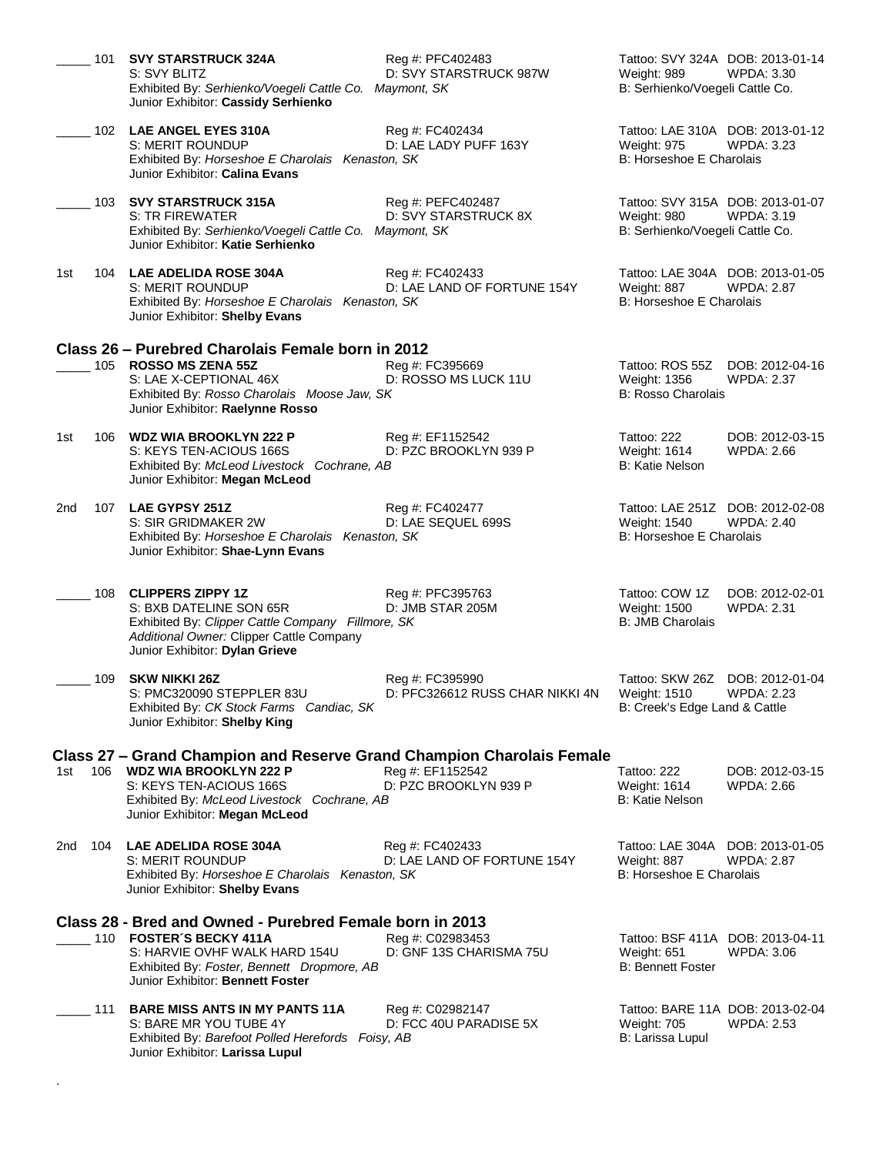| 101        | <b>SVY STARSTRUCK 324A</b><br>S: SVY BLITZ<br>Exhibited By: Serhienko/Voegeli Cattle Co. Maymont, SK<br>Junior Exhibitor: Cassidy Serhienko                                                                     | Reg #: PFC402483<br>D: SVY STARSTRUCK 987W         | Tattoo: SVY 324A DOB: 2013-01-14<br><b>WPDA: 3.30</b><br>Weight: 989<br>B: Serhienko/Voegeli Cattle Co.  |
|------------|-----------------------------------------------------------------------------------------------------------------------------------------------------------------------------------------------------------------|----------------------------------------------------|----------------------------------------------------------------------------------------------------------|
|            | 102 LAE ANGEL EYES 310A<br><b>S: MERIT ROUNDUP</b><br>Exhibited By: Horseshoe E Charolais Kenaston, SK<br>Junior Exhibitor: Calina Evans                                                                        | Reg #: FC402434<br>D: LAE LADY PUFF 163Y           | Tattoo: LAE 310A DOB: 2013-01-12<br><b>WPDA: 3.23</b><br><b>Weight: 975</b><br>B: Horseshoe E Charolais  |
|            | 103 SVY STARSTRUCK 315A<br>S: TR FIREWATER<br>Exhibited By: Serhienko/Voegeli Cattle Co. Maymont, SK<br>Junior Exhibitor: Katie Serhienko                                                                       | Reg #: PEFC402487<br>D: SVY STARSTRUCK 8X          | Tattoo: SVY 315A DOB: 2013-01-07<br><b>WPDA: 3.19</b><br>Weight: 980<br>B: Serhienko/Voegeli Cattle Co.  |
| 1st        | 104 LAE ADELIDA ROSE 304A<br>S: MERIT ROUNDUP<br>Exhibited By: Horseshoe E Charolais Kenaston, SK<br>Junior Exhibitor: Shelby Evans                                                                             | Reg #: FC402433<br>D: LAE LAND OF FORTUNE 154Y     | Tattoo: LAE 304A DOB: 2013-01-05<br>Weight: 887<br>WPDA: 2.87<br>B: Horseshoe E Charolais                |
|            | Class 26 - Purebred Charolais Female born in 2012                                                                                                                                                               |                                                    |                                                                                                          |
|            | 105 ROSSO MS ZENA 55Z<br>S: LAE X-CEPTIONAL 46X<br>Exhibited By: Rosso Charolais Moose Jaw, SK<br>Junior Exhibitor: Raelynne Rosso                                                                              | Reg #: FC395669<br>D: ROSSO MS LUCK 11U            | Tattoo: ROS 55Z<br>DOB: 2012-04-16<br>Weight: 1356<br><b>WPDA: 2.37</b><br><b>B: Rosso Charolais</b>     |
| 1st        | 106 WDZ WIA BROOKLYN 222 P<br>S: KEYS TEN-ACIOUS 166S<br>Exhibited By: McLeod Livestock Cochrane, AB<br>Junior Exhibitor: Megan McLeod                                                                          | Reg #: EF1152542<br>D: PZC BROOKLYN 939 P          | Tattoo: 222<br>DOB: 2012-03-15<br>Weight: 1614<br>WPDA: 2.66<br>B: Katie Nelson                          |
| 2nd        | 107 LAE GYPSY 251Z<br>S: SIR GRIDMAKER 2W<br>Exhibited By: Horseshoe E Charolais Kenaston, SK<br>Junior Exhibitor: Shae-Lynn Evans                                                                              | Reg #: FC402477<br>D: LAE SEQUEL 699S              | Tattoo: LAE 251Z DOB: 2012-02-08<br>Weight: 1540<br><b>WPDA: 2.40</b><br>B: Horseshoe E Charolais        |
| 108        | <b>CLIPPERS ZIPPY 1Z</b><br>S: BXB DATELINE SON 65R<br>Exhibited By: Clipper Cattle Company Fillmore, SK<br>Additional Owner: Clipper Cattle Company<br>Junior Exhibitor: Dylan Grieve                          | Reg #: PFC395763<br>D: JMB STAR 205M               | Tattoo: COW 1Z<br>DOB: 2012-02-01<br>Weight: 1500<br><b>WPDA: 2.31</b><br><b>B: JMB Charolais</b>        |
| 109        | <b>SKW NIKKI 26Z</b><br>S: PMC320090 STEPPLER 83U<br>Exhibited By: CK Stock Farms Candiac, SK<br>Junior Exhibitor: Shelby King                                                                                  | Rea #: FC395990<br>D: PFC326612 RUSS CHAR NIKKI 4N | Tattoo: SKW 26Z<br>DOB: 2012-01-04<br><b>WPDA: 2.23</b><br>Weight: 1510<br>B: Creek's Edge Land & Cattle |
| 1st        | Class 27 – Grand Champion and Reserve Grand Champion Charolais Female<br>106 WDZ WIA BROOKLYN 222 P<br>S: KEYS TEN-ACIOUS 166S<br>Exhibited By: McLeod Livestock Cochrane, AB<br>Junior Exhibitor: Megan McLeod | Reg #: EF1152542<br>D: PZC BROOKLYN 939 P          | Tattoo: 222<br>DOB: 2012-03-15<br>Weight: 1614<br>WPDA: 2.66<br>B: Katie Nelson                          |
| 104<br>2nd | <b>LAE ADELIDA ROSE 304A</b><br>S: MERIT ROUNDUP<br>Exhibited By: Horseshoe E Charolais Kenaston, SK<br>Junior Exhibitor: Shelby Evans                                                                          | Reg #: FC402433<br>D: LAE LAND OF FORTUNE 154Y     | Tattoo: LAE 304A DOB: 2013-01-05<br>Weight: 887<br><b>WPDA: 2.87</b><br>B: Horseshoe E Charolais         |
|            | Class 28 - Bred and Owned - Purebred Female born in 2013<br>110 FOSTER'S BECKY 411A<br>S: HARVIE OVHF WALK HARD 154U<br>Exhibited By: Foster, Bennett Dropmore, AB<br>Junior Exhibitor: Bennett Foster          | Reg #: C02983453<br>D: GNF 13S CHARISMA 75U        | Tattoo: BSF 411A DOB: 2013-04-11<br>Weight: 651<br>WPDA: 3.06<br><b>B: Bennett Foster</b>                |
| 111        | <b>BARE MISS ANTS IN MY PANTS 11A</b><br>S: BARE MR YOU TUBE 4Y<br>Exhibited By: Barefoot Polled Herefords Foisy, AB<br>Junior Exhibitor: Larissa Lupul                                                         | Reg #: C02982147<br>D: FCC 40U PARADISE 5X         | Tattoo: BARE 11A DOB: 2013-02-04<br>Weight: 705<br><b>WPDA: 2.53</b><br>B: Larissa Lupul                 |
|            |                                                                                                                                                                                                                 |                                                    |                                                                                                          |